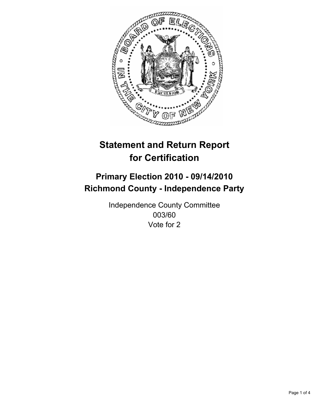

# **Primary Election 2010 - 09/14/2010 Richmond County - Independence Party**

Independence County Committee 003/60 Vote for 2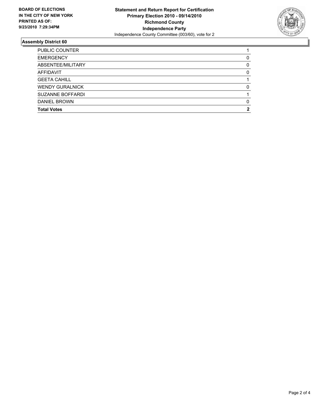

| <b>Total Votes</b>      | 2 |
|-------------------------|---|
| <b>DANIEL BROWN</b>     | 0 |
| <b>SUZANNE BOFFARDI</b> |   |
| <b>WENDY GURALNICK</b>  | 0 |
| <b>GEETA CAHILL</b>     |   |
| <b>AFFIDAVIT</b>        | 0 |
| ABSENTEE/MILITARY       | 0 |
| <b>EMERGENCY</b>        | 0 |
| <b>PUBLIC COUNTER</b>   |   |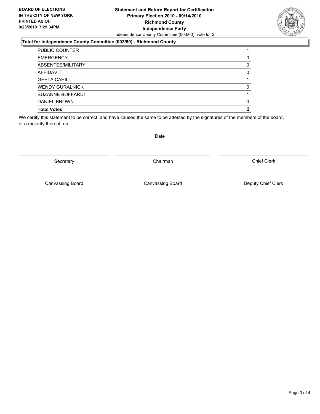#### **Statement and Return Report for Certification Primary Election 2010 - 09/14/2010 Richmond County Independence Party** Independence County Committee (003/60), vote for 2

### **Total for Independence County Committee (003/60) - Richmond County**

| <b>Total Votes</b>      | 2 |
|-------------------------|---|
| <b>DANIEL BROWN</b>     | 0 |
| <b>SUZANNE BOFFARDI</b> |   |
| <b>WENDY GURALNICK</b>  | 0 |
| <b>GEETA CAHILL</b>     |   |
| <b>AFFIDAVIT</b>        | 0 |
| ABSENTEE/MILITARY       | 0 |
| <b>EMERGENCY</b>        | 0 |
| <b>PUBLIC COUNTER</b>   |   |

We certify this statement to be correct, and have caused the same to be attested by the signatures of the members of the board, or a majority thereof, on

Secretary **Chairman** 

Canvassing Board

Canvassing Board **Canvassing Board** Canvassing Board **Deputy Chief Clerk** 

Chief Clerk

Date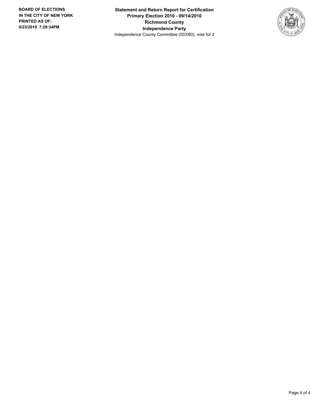**Statement and Return Report for Certification Primary Election 2010 - 09/14/2010 Richmond County Independence Party** Independence County Committee (003/60), vote for 2

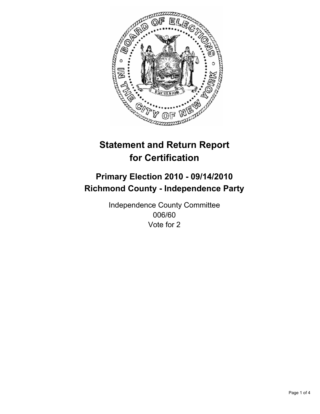

# **Primary Election 2010 - 09/14/2010 Richmond County - Independence Party**

Independence County Committee 006/60 Vote for 2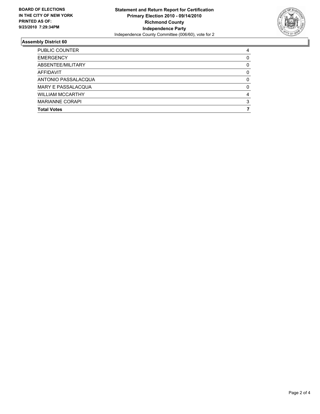

| <b>Total Votes</b>        |   |
|---------------------------|---|
| <b>MARIANNE CORAPI</b>    | 3 |
| <b>WILLIAM MCCARTHY</b>   | 4 |
| <b>MARY E PASSALACQUA</b> | 0 |
| ANTONIO PASSALACQUA       | 0 |
| AFFIDAVIT                 | 0 |
| ABSENTEE/MILITARY         | 0 |
| <b>EMERGENCY</b>          | 0 |
| <b>PUBLIC COUNTER</b>     | 4 |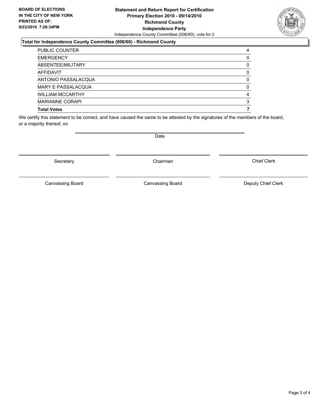#### **Statement and Return Report for Certification Primary Election 2010 - 09/14/2010 Richmond County Independence Party** Independence County Committee (006/60), vote for 2

#### **Total for Independence County Committee (006/60) - Richmond County**

| <b>Total Votes</b>        |   |
|---------------------------|---|
| <b>MARIANNE CORAPI</b>    | 3 |
| <b>WILLIAM MCCARTHY</b>   | 4 |
| <b>MARY E PASSALACQUA</b> | 0 |
| ANTONIO PASSALACQUA       | 0 |
| <b>AFFIDAVIT</b>          | 0 |
| ABSENTEE/MILITARY         | 0 |
| <b>EMERGENCY</b>          | 0 |
| <b>PUBLIC COUNTER</b>     | 4 |

We certify this statement to be correct, and have caused the same to be attested by the signatures of the members of the board, or a majority thereof, on

Secretary **Chairman** 

Canvassing Board

Date

Chief Clerk

Canvassing Board **Canvassing Board** Canvassing Board **Deputy Chief Clerk**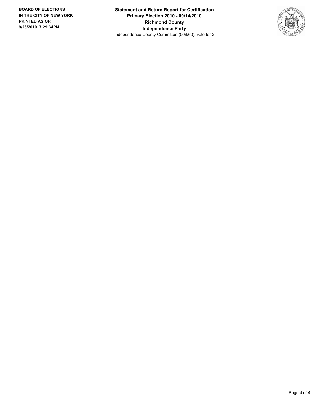**Statement and Return Report for Certification Primary Election 2010 - 09/14/2010 Richmond County Independence Party** Independence County Committee (006/60), vote for 2

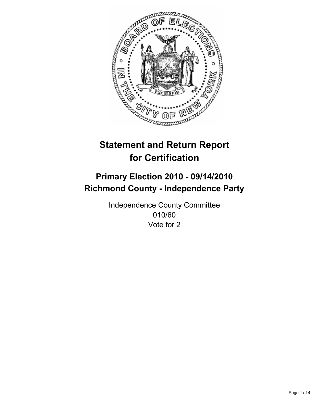

# **Primary Election 2010 - 09/14/2010 Richmond County - Independence Party**

Independence County Committee 010/60 Vote for 2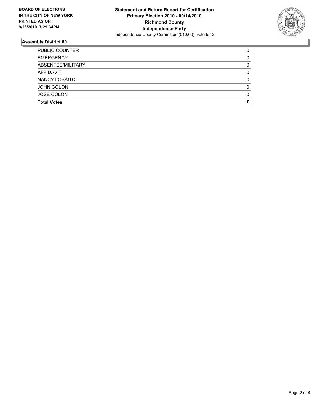

| <b>Total Votes</b>    | 0 |
|-----------------------|---|
| <b>JOSE COLON</b>     | 0 |
| <b>JOHN COLON</b>     | 0 |
| NANCY LOBAITO         | 0 |
| AFFIDAVIT             | 0 |
| ABSENTEE/MILITARY     |   |
| <b>EMERGENCY</b>      | 0 |
| <b>PUBLIC COUNTER</b> |   |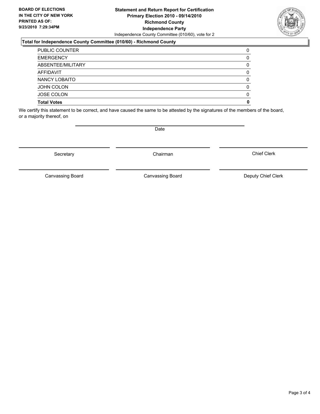#### **Statement and Return Report for Certification Primary Election 2010 - 09/14/2010 Richmond County Independence Party** Independence County Committee (010/60), vote for 2

#### **Total for Independence County Committee (010/60) - Richmond County**

| <b>Total Votes</b>    | 0 |
|-----------------------|---|
| <b>JOSE COLON</b>     | 0 |
| <b>JOHN COLON</b>     | 0 |
| NANCY LOBAITO         | 0 |
| AFFIDAVIT             | 0 |
| ABSENTEE/MILITARY     | 0 |
| <b>EMERGENCY</b>      | 0 |
| <b>PUBLIC COUNTER</b> | 0 |

We certify this statement to be correct, and have caused the same to be attested by the signatures of the members of the board, or a majority thereof, on

Secretary **Chairman** 

Canvassing Board **Canvassing Board** Canvassing Board **Deputy Chief Clerk** 

Chief Clerk

Canvassing Board



**Date**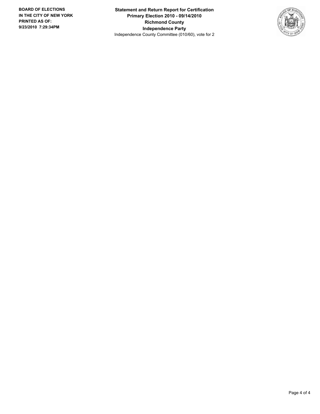**Statement and Return Report for Certification Primary Election 2010 - 09/14/2010 Richmond County Independence Party** Independence County Committee (010/60), vote for 2

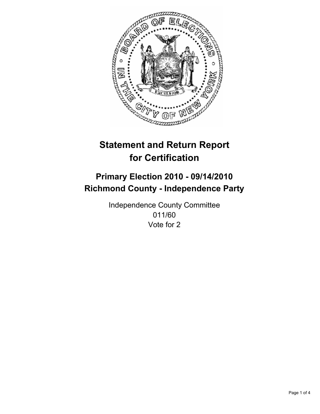

# **Primary Election 2010 - 09/14/2010 Richmond County - Independence Party**

Independence County Committee 011/60 Vote for 2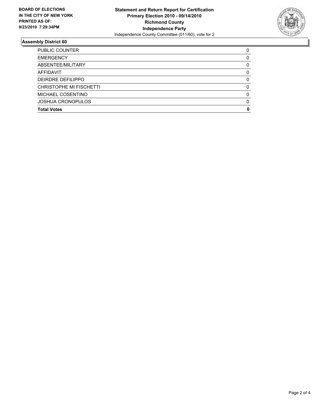

| <b>Total Votes</b>       | 0 |
|--------------------------|---|
| <b>JOSHUA CRONOPULOS</b> | 0 |
| MICHAEL COSENTINO        | 0 |
| CHRISTOPHE MI FISCHETTI  | 0 |
| DEIRDRE DEFILIPPO        | 0 |
| <b>AFFIDAVIT</b>         | 0 |
| ABSENTEE/MILITARY        | 0 |
| <b>EMERGENCY</b>         | 0 |
| <b>PUBLIC COUNTER</b>    | 0 |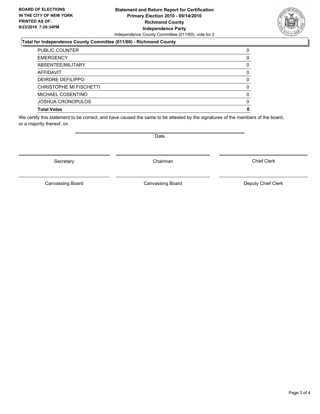#### **Statement and Return Report for Certification Primary Election 2010 - 09/14/2010 Richmond County Independence Party** Independence County Committee (011/60), vote for 2

### **Total for Independence County Committee (011/60) - Richmond County**

| <b>Total Votes</b>       | 0            |
|--------------------------|--------------|
| <b>JOSHUA CRONOPULOS</b> | 0            |
| MICHAEL COSENTINO        | 0            |
| CHRISTOPHE MI FISCHETTI  | 0            |
| DEIRDRE DEFILIPPO        | 0            |
| <b>AFFIDAVIT</b>         | <sup>0</sup> |
| ABSENTEE/MILITARY        | 0            |
| <b>EMERGENCY</b>         | O            |
| <b>PUBLIC COUNTER</b>    | 0            |

We certify this statement to be correct, and have caused the same to be attested by the signatures of the members of the board, or a majority thereof, on

Secretary **Chairman** 

Canvassing Board **Canvassing Board** Canvassing Board **Deputy Chief Clerk** 

Chief Clerk

Canvassing Board

Date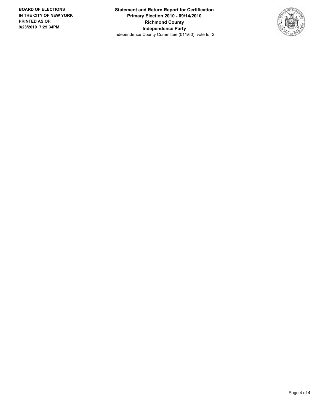**Statement and Return Report for Certification Primary Election 2010 - 09/14/2010 Richmond County Independence Party** Independence County Committee (011/60), vote for 2

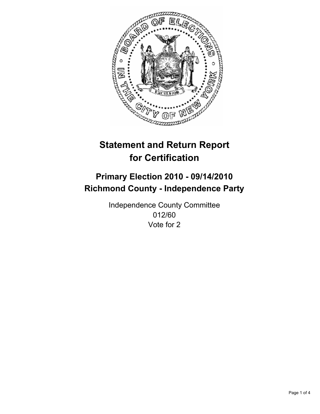

# **Primary Election 2010 - 09/14/2010 Richmond County - Independence Party**

Independence County Committee 012/60 Vote for 2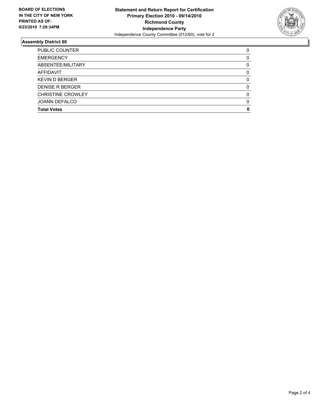

| <b>Total Votes</b>       | O        |
|--------------------------|----------|
| <b>JOANN DEFALCO</b>     | $\Omega$ |
| <b>CHRISTINE CROWLEY</b> | $\Omega$ |
| <b>DENISE R BERGER</b>   | 0        |
| <b>KEVIN D BERGER</b>    | 0        |
| <b>AFFIDAVIT</b>         | 0        |
| ABSENTEE/MILITARY        | 0        |
| <b>EMERGENCY</b>         | 0        |
| <b>PUBLIC COUNTER</b>    | 0        |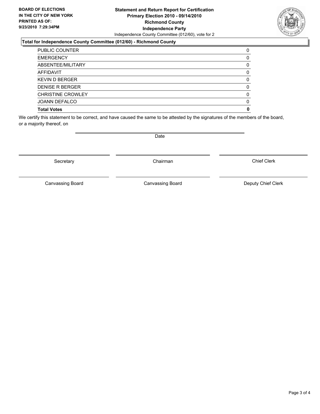#### **Statement and Return Report for Certification Primary Election 2010 - 09/14/2010 Richmond County Independence Party** Independence County Committee (012/60), vote for 2

#### **Total for Independence County Committee (012/60) - Richmond County**

| <b>Total Votes</b>       | 0 |
|--------------------------|---|
| <b>JOANN DEFALCO</b>     | 0 |
| <b>CHRISTINE CROWLEY</b> | 0 |
| <b>DENISE R BERGER</b>   | 0 |
| <b>KEVIN D BERGER</b>    | 0 |
| <b>AFFIDAVIT</b>         | 0 |
| ABSENTEE/MILITARY        | 0 |
| <b>EMERGENCY</b>         | 0 |
| <b>PUBLIC COUNTER</b>    | 0 |

We certify this statement to be correct, and have caused the same to be attested by the signatures of the members of the board, or a majority thereof, on

Secretary **Chairman** 

Canvassing Board

Canvassing Board **Canvassing Board** Canvassing Board **Deputy Chief Clerk** 

Chief Clerk





Date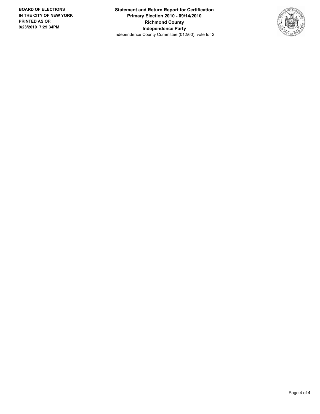**Statement and Return Report for Certification Primary Election 2010 - 09/14/2010 Richmond County Independence Party** Independence County Committee (012/60), vote for 2

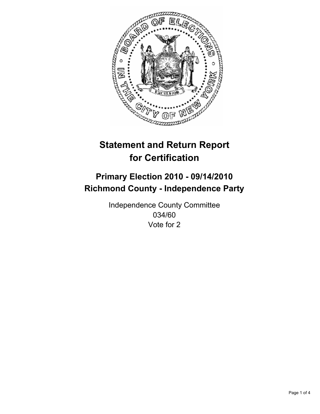

# **Primary Election 2010 - 09/14/2010 Richmond County - Independence Party**

Independence County Committee 034/60 Vote for 2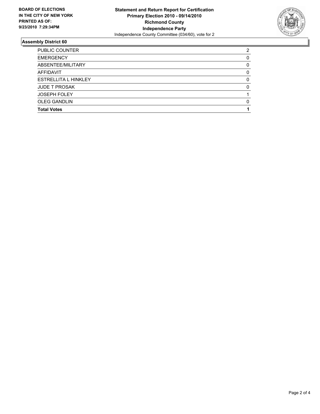

| <b>PUBLIC COUNTER</b>       | 2 |
|-----------------------------|---|
| <b>EMERGENCY</b>            | 0 |
| ABSENTEE/MILITARY           | 0 |
| <b>AFFIDAVIT</b>            | 0 |
| <b>ESTRELLITA L HINKLEY</b> | 0 |
| <b>JUDE T PROSAK</b>        | 0 |
| <b>JOSEPH FOLEY</b>         |   |
| <b>OLEG GANDLIN</b>         | 0 |
| <b>Total Votes</b>          |   |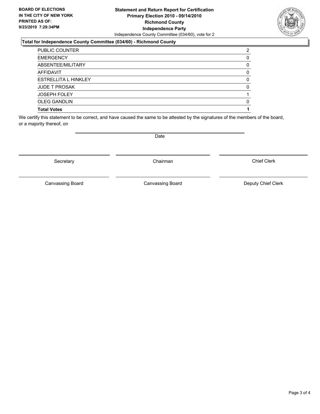#### **Statement and Return Report for Certification Primary Election 2010 - 09/14/2010 Richmond County Independence Party** Independence County Committee (034/60), vote for 2

### **Total for Independence County Committee (034/60) - Richmond County**

| <b>Total Votes</b>          |              |
|-----------------------------|--------------|
| <b>OLEG GANDLIN</b>         | 0            |
| <b>JOSEPH FOLEY</b>         |              |
| <b>JUDE T PROSAK</b>        | <sup>0</sup> |
| <b>ESTRELLITA L HINKLEY</b> | 0            |
| <b>AFFIDAVIT</b>            | 0            |
| ABSENTEE/MILITARY           | 0            |
| <b>EMERGENCY</b>            |              |
| PUBLIC COUNTER              | 2            |

We certify this statement to be correct, and have caused the same to be attested by the signatures of the members of the board, or a majority thereof, on

Secretary **Chairman** 

Canvassing Board

Canvassing Board **Canvassing Board** Canvassing Board **Deputy Chief Clerk** 

Chief Clerk



Date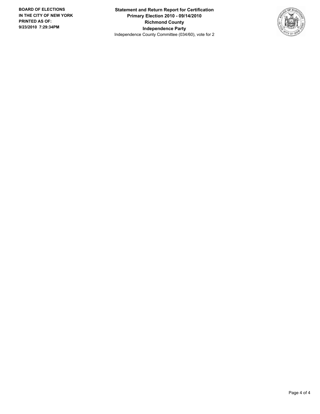**Statement and Return Report for Certification Primary Election 2010 - 09/14/2010 Richmond County Independence Party** Independence County Committee (034/60), vote for 2

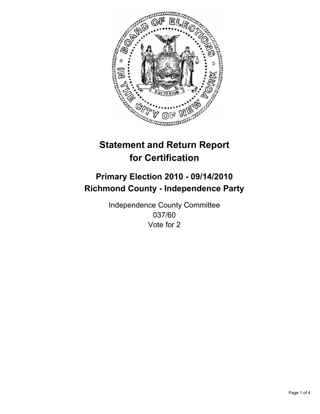

# **Primary Election 2010 - 09/14/2010 Richmond County - Independence Party**

Independence County Committee 037/60 Vote for 2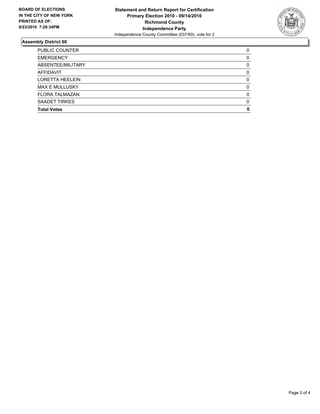

| <b>Total Votes</b>     | 0        |
|------------------------|----------|
| <b>SAADET TIRKES</b>   | $\Omega$ |
| <b>FLORA TALMAZAN</b>  | $\Omega$ |
| <b>MAX E MULLUSKY</b>  | 0        |
| <b>LORETTA HEELEIN</b> | 0        |
| <b>AFFIDAVIT</b>       | 0        |
| ABSENTEE/MILITARY      | 0        |
| <b>EMERGENCY</b>       | 0        |
| <b>PUBLIC COUNTER</b>  | 0        |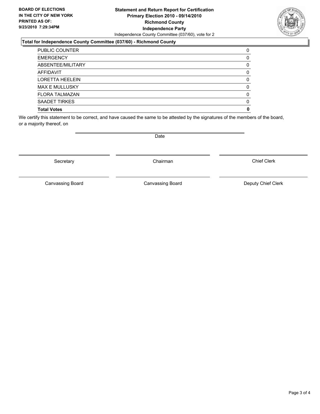### **Statement and Return Report for Certification Primary Election 2010 - 09/14/2010 Richmond County Independence Party** Independence County Committee (037/60), vote for 2

#### **Total for Independence County Committee (037/60) - Richmond County**

| <b>Total Votes</b>     | 0 |
|------------------------|---|
| SAADET TIRKES          | 0 |
| <b>FLORA TALMAZAN</b>  | 0 |
| <b>MAX E MULLUSKY</b>  | 0 |
| <b>LORETTA HEELEIN</b> | 0 |
| <b>AFFIDAVIT</b>       | 0 |
| ABSENTEE/MILITARY      | 0 |
| <b>EMERGENCY</b>       | 0 |
| <b>PUBLIC COUNTER</b>  | 0 |

We certify this statement to be correct, and have caused the same to be attested by the signatures of the members of the board, or a majority thereof, on

Secretary **Chairman** 

Canvassing Board **Canvassing Board** Canvassing Board **Deputy Chief Clerk** 

Chief Clerk

Page 3 of 4

Canvassing Board

Date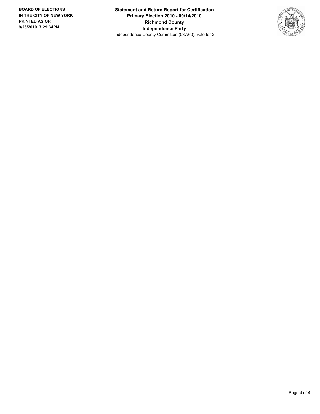**Statement and Return Report for Certification Primary Election 2010 - 09/14/2010 Richmond County Independence Party** Independence County Committee (037/60), vote for 2

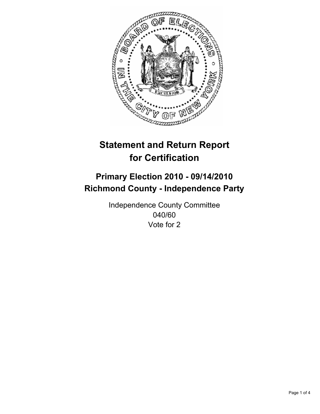

# **Primary Election 2010 - 09/14/2010 Richmond County - Independence Party**

Independence County Committee 040/60 Vote for 2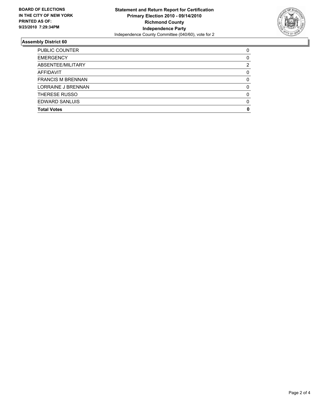

| <b>Total Votes</b>       | 0 |
|--------------------------|---|
| EDWARD SANLUIS           | 0 |
| THERESE RUSSO            | 0 |
| LORRAINE J BRENNAN       | 0 |
| <b>FRANCIS M BRENNAN</b> | 0 |
| <b>AFFIDAVIT</b>         | 0 |
| ABSENTEE/MILITARY        | 2 |
| <b>EMERGENCY</b>         | 0 |
| <b>PUBLIC COUNTER</b>    | 0 |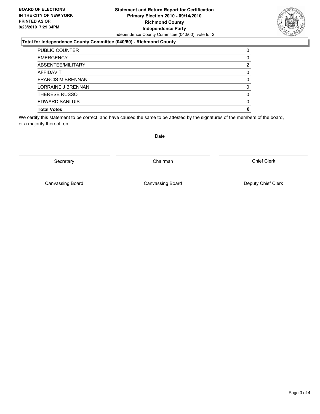#### **Statement and Return Report for Certification Primary Election 2010 - 09/14/2010 Richmond County Independence Party** Independence County Committee (040/60), vote for 2

### **Total for Independence County Committee (040/60) - Richmond County**

| <b>Total Votes</b>       | 0 |
|--------------------------|---|
| <b>EDWARD SANLUIS</b>    | 0 |
| THERESE RUSSO            | 0 |
| LORRAINE J BRENNAN       | 0 |
| <b>FRANCIS M BRENNAN</b> | 0 |
| <b>AFFIDAVIT</b>         | 0 |
| ABSENTEE/MILITARY        | 2 |
| <b>EMERGENCY</b>         | 0 |
| <b>PUBLIC COUNTER</b>    | 0 |

We certify this statement to be correct, and have caused the same to be attested by the signatures of the members of the board, or a majority thereof, on

Secretary **Chairman** 

Canvassing Board

Canvassing Board **Canvassing Board** Canvassing Board **Deputy Chief Clerk** 

Chief Clerk

Page 3 of 4

Date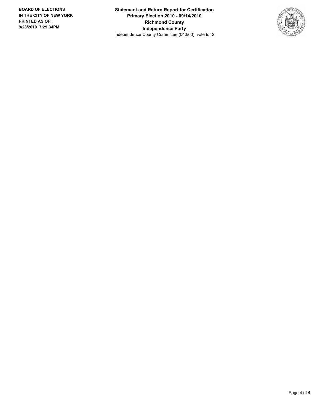**Statement and Return Report for Certification Primary Election 2010 - 09/14/2010 Richmond County Independence Party** Independence County Committee (040/60), vote for 2

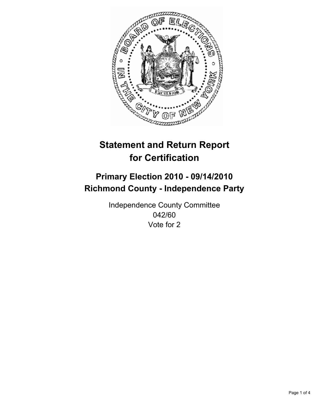

# **Primary Election 2010 - 09/14/2010 Richmond County - Independence Party**

Independence County Committee 042/60 Vote for 2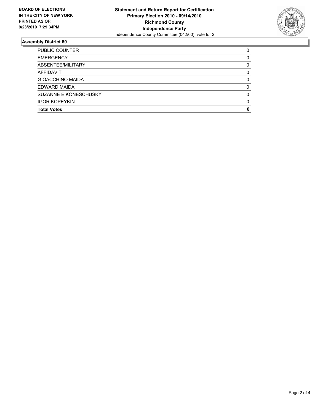

| <b>Total Votes</b>      | 0 |
|-------------------------|---|
| <b>IGOR KOPEYKIN</b>    | 0 |
| SUZANNE E KONESCHUSKY   | O |
| EDWARD MAIDA            | 0 |
| <b>GIOACCHINO MAIDA</b> | 0 |
| <b>AFFIDAVIT</b>        | 0 |
| ABSENTEE/MILITARY       | 0 |
| <b>EMERGENCY</b>        | 0 |
| PUBLIC COUNTER          | 0 |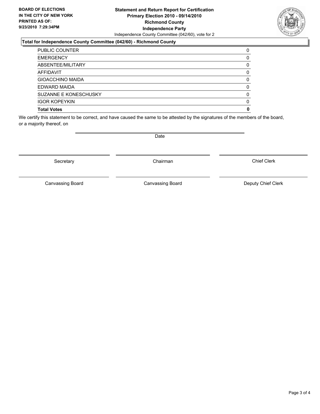#### **Statement and Return Report for Certification Primary Election 2010 - 09/14/2010 Richmond County Independence Party** Independence County Committee (042/60), vote for 2

#### **Total for Independence County Committee (042/60) - Richmond County**

| <b>PUBLIC COUNTER</b>   | 0 |
|-------------------------|---|
| <b>EMERGENCY</b>        | 0 |
| ABSENTEE/MILITARY       | 0 |
| AFFIDAVIT               | 0 |
| <b>GIOACCHINO MAIDA</b> | 0 |
| EDWARD MAIDA            | 0 |
| SUZANNE E KONESCHUSKY   | 0 |
| <b>IGOR KOPEYKIN</b>    | 0 |
| <b>Total Votes</b>      | 0 |

We certify this statement to be correct, and have caused the same to be attested by the signatures of the members of the board, or a majority thereof, on

Date

Secretary **Chairman** 

Canvassing Board

Canvassing Board **Canvassing Board** Canvassing Board **Deputy Chief Clerk** 

Chief Clerk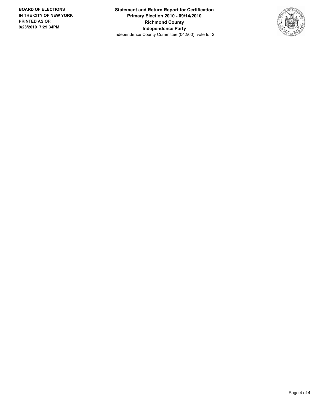**Statement and Return Report for Certification Primary Election 2010 - 09/14/2010 Richmond County Independence Party** Independence County Committee (042/60), vote for 2

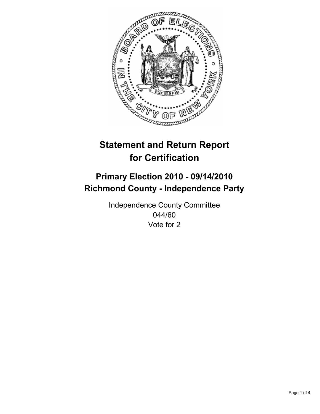

## **Primary Election 2010 - 09/14/2010 Richmond County - Independence Party**

Independence County Committee 044/60 Vote for 2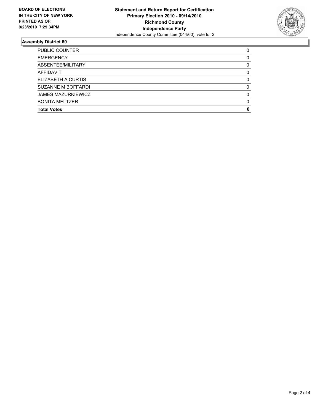

| <b>Total Votes</b>        | O        |
|---------------------------|----------|
| <b>BONITA MELTZER</b>     | $\Omega$ |
| <b>JAMES MAZURKIEWICZ</b> | $\Omega$ |
| <b>SUZANNE M BOFFARDI</b> | 0        |
| ELIZABETH A CURTIS        | 0        |
| <b>AFFIDAVIT</b>          | 0        |
| ABSENTEE/MILITARY         | 0        |
| <b>EMERGENCY</b>          | 0        |
| PUBLIC COUNTER            | 0        |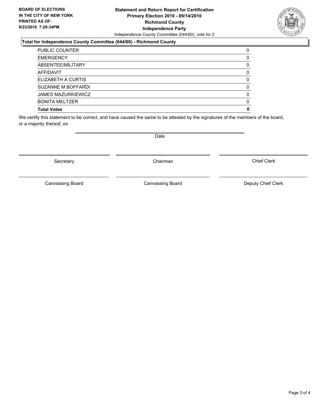### **Statement and Return Report for Certification Primary Election 2010 - 09/14/2010 Richmond County Independence Party** Independence County Committee (044/60), vote for 2

### **Total for Independence County Committee (044/60) - Richmond County**

| <b>Total Votes</b>        | 0 |
|---------------------------|---|
| <b>BONITA MELTZER</b>     | 0 |
| <b>JAMES MAZURKIEWICZ</b> | 0 |
| SUZANNE M BOFFARDI        | 0 |
| ELIZABETH A CURTIS        | 0 |
| <b>AFFIDAVIT</b>          | 0 |
| ABSENTEE/MILITARY         | 0 |
| <b>EMERGENCY</b>          | 0 |
| PUBLIC COUNTER            | 0 |

We certify this statement to be correct, and have caused the same to be attested by the signatures of the members of the board, or a majority thereof, on

Date

Secretary **Chairman** 

Canvassing Board

Canvassing Board **Canvassing Board** Canvassing Board **Deputy Chief Clerk** 

Chief Clerk

Page 3 of 4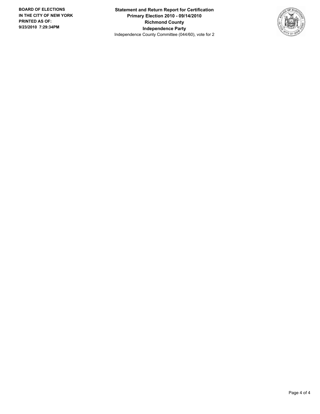**Statement and Return Report for Certification Primary Election 2010 - 09/14/2010 Richmond County Independence Party** Independence County Committee (044/60), vote for 2

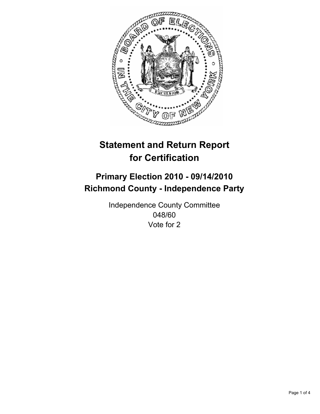

## **Primary Election 2010 - 09/14/2010 Richmond County - Independence Party**

Independence County Committee 048/60 Vote for 2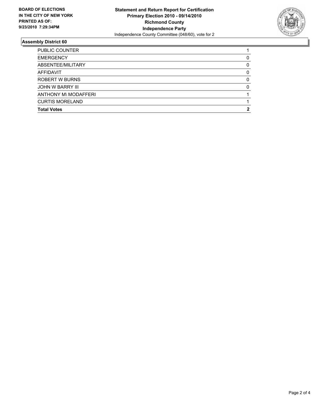

| <b>Total Votes</b>     | 2 |
|------------------------|---|
| <b>CURTIS MORELAND</b> |   |
| ANTHONY M\ MODAFFERI   |   |
| JOHN W BARRY III       | 0 |
| <b>ROBERT W BURNS</b>  | 0 |
| <b>AFFIDAVIT</b>       | 0 |
| ABSENTEE/MILITARY      | 0 |
| <b>EMERGENCY</b>       | 0 |
| <b>PUBLIC COUNTER</b>  |   |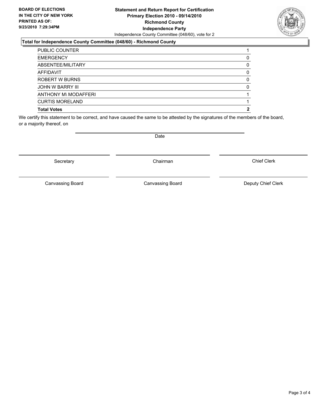### **Statement and Return Report for Certification Primary Election 2010 - 09/14/2010 Richmond County Independence Party** Independence County Committee (048/60), vote for 2

### **Total for Independence County Committee (048/60) - Richmond County**

| <b>Total Votes</b>      | 2 |
|-------------------------|---|
| <b>CURTIS MORELAND</b>  |   |
| ANTHONY M\ MODAFFERI    |   |
| <b>JOHN W BARRY III</b> | 0 |
| <b>ROBERT W BURNS</b>   | 0 |
| AFFIDAVIT               | 0 |
| ABSENTEE/MILITARY       | 0 |
| <b>EMERGENCY</b>        |   |
| <b>PUBLIC COUNTER</b>   |   |

We certify this statement to be correct, and have caused the same to be attested by the signatures of the members of the board, or a majority thereof, on

Date

Secretary **Chairman** 

Canvassing Board

Canvassing Board **Canvassing Board** Canvassing Board **Deputy Chief Clerk** 

Chief Clerk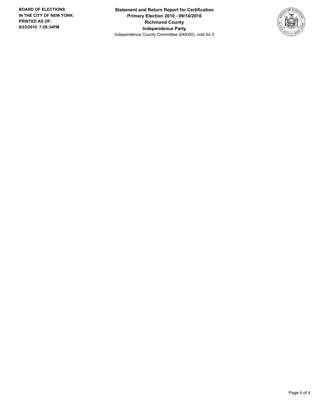**Statement and Return Report for Certification Primary Election 2010 - 09/14/2010 Richmond County Independence Party** Independence County Committee (048/60), vote for 2

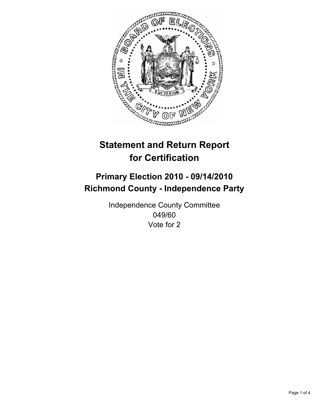

## **Primary Election 2010 - 09/14/2010 Richmond County - Independence Party**

Independence County Committee 049/60 Vote for 2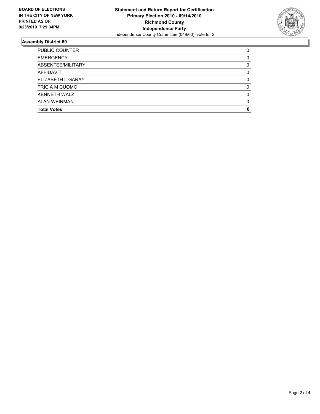

| <b>Total Votes</b>    | 0        |
|-----------------------|----------|
| ALAN WEINMAN          | 0        |
| <b>KENNETH WALZ</b>   | $\Omega$ |
| <b>TRICIA M CUOMO</b> | 0        |
| ELIZABETH L GARAY     | 0        |
| AFFIDAVIT             | 0        |
| ABSENTEE/MILITARY     | 0        |
| <b>EMERGENCY</b>      | 0        |
| <b>PUBLIC COUNTER</b> | 0        |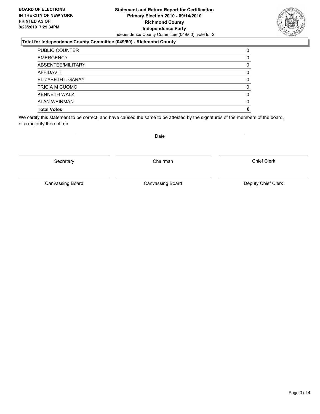### **Statement and Return Report for Certification Primary Election 2010 - 09/14/2010 Richmond County Independence Party** Independence County Committee (049/60), vote for 2

### **Total for Independence County Committee (049/60) - Richmond County**

| <b>Total Votes</b>    | 0 |
|-----------------------|---|
| <b>ALAN WEINMAN</b>   | 0 |
| <b>KENNETH WALZ</b>   | 0 |
| <b>TRICIA M CUOMO</b> | 0 |
| ELIZABETH L GARAY     | 0 |
| <b>AFFIDAVIT</b>      | 0 |
| ABSENTEE/MILITARY     | 0 |
| <b>EMERGENCY</b>      | 0 |
| <b>PUBLIC COUNTER</b> | 0 |

We certify this statement to be correct, and have caused the same to be attested by the signatures of the members of the board, or a majority thereof, on

Canvassing Board

Canvassing Board **Canvassing Board** Canvassing Board **Deputy Chief Clerk** 

Chief Clerk

Secretary **Chairman** 

Date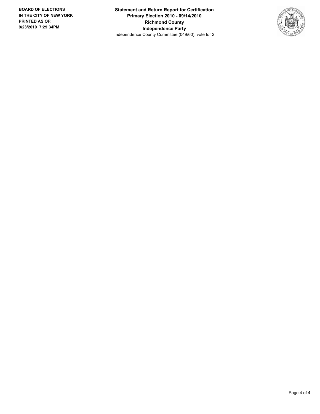**Statement and Return Report for Certification Primary Election 2010 - 09/14/2010 Richmond County Independence Party** Independence County Committee (049/60), vote for 2

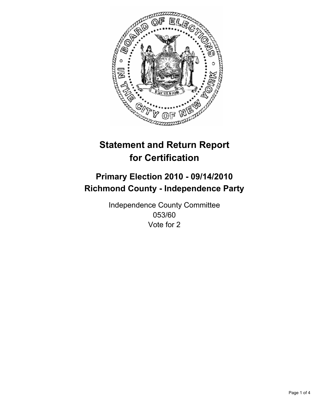

## **Primary Election 2010 - 09/14/2010 Richmond County - Independence Party**

Independence County Committee 053/60 Vote for 2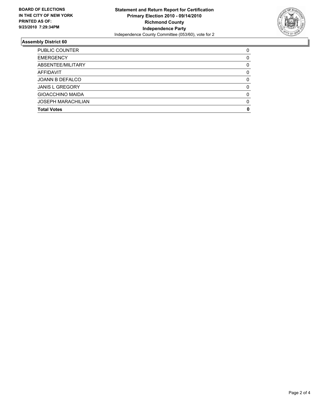

| <b>Total Votes</b>        | O        |
|---------------------------|----------|
| <b>JOSEPH MARACHILIAN</b> | $\Omega$ |
| <b>GIOACCHINO MAIDA</b>   | $\Omega$ |
| <b>JANIS L GREGORY</b>    | 0        |
| JOANN B DEFALCO           | 0        |
| <b>AFFIDAVIT</b>          | 0        |
| ABSENTEE/MILITARY         | 0        |
| <b>EMERGENCY</b>          | 0        |
| PUBLIC COUNTER            | 0        |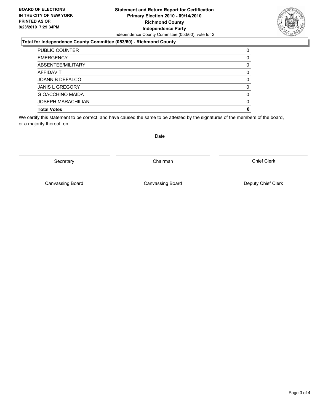### **Statement and Return Report for Certification Primary Election 2010 - 09/14/2010 Richmond County Independence Party** Independence County Committee (053/60), vote for 2

### **Total for Independence County Committee (053/60) - Richmond County**

| <b>Total Votes</b>        | 0 |
|---------------------------|---|
| <b>JOSEPH MARACHILIAN</b> | 0 |
| <b>GIOACCHINO MAIDA</b>   | 0 |
| <b>JANIS L GREGORY</b>    | 0 |
| <b>JOANN B DEFALCO</b>    | 0 |
| <b>AFFIDAVIT</b>          | 0 |
| ABSENTEE/MILITARY         | 0 |
| <b>EMERGENCY</b>          | 0 |
| <b>PUBLIC COUNTER</b>     | 0 |

We certify this statement to be correct, and have caused the same to be attested by the signatures of the members of the board, or a majority thereof, on

Secretary **Chairman** 

Canvassing Board **Canvassing Board** Canvassing Board **Deputy Chief Clerk** 

Chief Clerk

Page 3 of 4

Canvassing Board

Date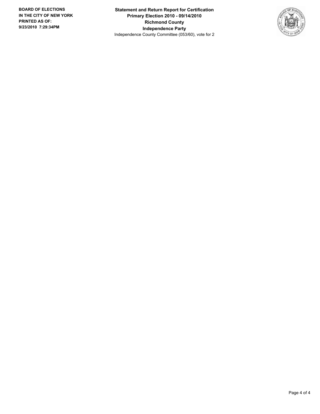**Statement and Return Report for Certification Primary Election 2010 - 09/14/2010 Richmond County Independence Party** Independence County Committee (053/60), vote for 2

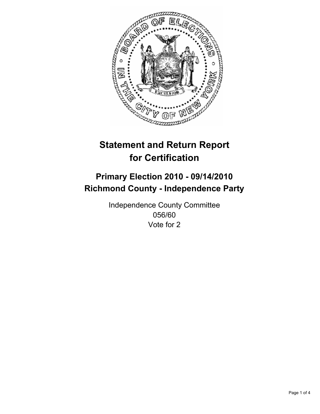

## **Primary Election 2010 - 09/14/2010 Richmond County - Independence Party**

Independence County Committee 056/60 Vote for 2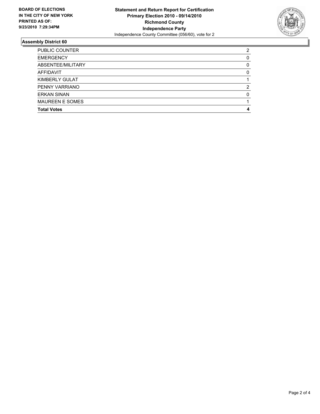

| <b>Total Votes</b>     | 4        |
|------------------------|----------|
| <b>MAUREEN E SOMES</b> |          |
| <b>ERKAN SINAN</b>     | $\Omega$ |
| PENNY VARRIANO         | 2        |
| KIMBERLY GULAT         |          |
| AFFIDAVIT              | 0        |
| ABSENTEE/MILITARY      | 0        |
| <b>EMERGENCY</b>       | 0        |
| <b>PUBLIC COUNTER</b>  | 2        |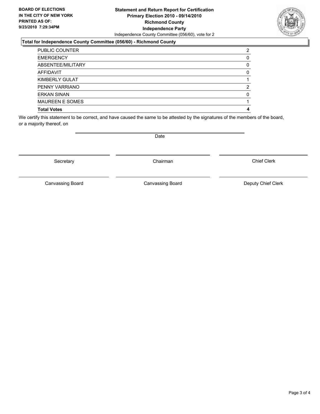### **Statement and Return Report for Certification Primary Election 2010 - 09/14/2010 Richmond County Independence Party** Independence County Committee (056/60), vote for 2

### **Total for Independence County Committee (056/60) - Richmond County**

| <b>ERKAN SINAN</b><br><b>MAUREEN E SOMES</b> | O |
|----------------------------------------------|---|
| PENNY VARRIANO                               | 2 |
| KIMBERLY GULAT                               |   |
| <b>AFFIDAVIT</b>                             | 0 |
| ABSENTEE/MILITARY                            | 0 |
| <b>EMERGENCY</b>                             | 0 |
| <b>PUBLIC COUNTER</b>                        | 2 |

We certify this statement to be correct, and have caused the same to be attested by the signatures of the members of the board, or a majority thereof, on

Secretary **Chairman** 

Canvassing Board

Canvassing Board **Canvassing Board** Canvassing Board **Deputy Chief Clerk** 

Chief Clerk

Date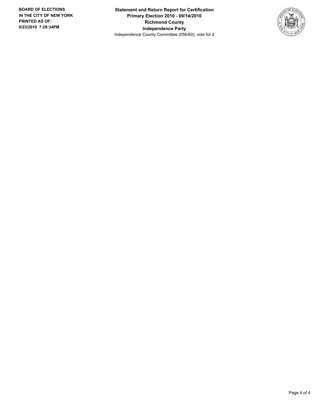**Statement and Return Report for Certification Primary Election 2010 - 09/14/2010 Richmond County Independence Party** Independence County Committee (056/60), vote for 2

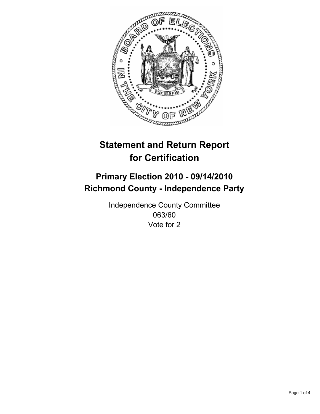

## **Primary Election 2010 - 09/14/2010 Richmond County - Independence Party**

Independence County Committee 063/60 Vote for 2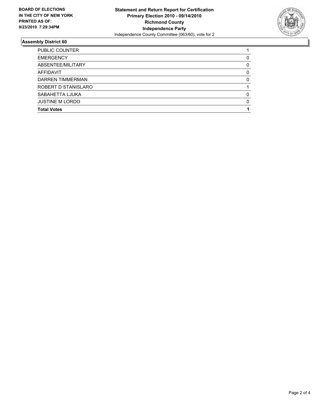

| <b>JUSTINE M LORDO</b><br><b>Total Votes</b> | 0 |
|----------------------------------------------|---|
| SABAHETTA LJUKA                              | 0 |
| ROBERT D STANISLARO                          |   |
| DARREN TIMMERMAN                             | 0 |
| AFFIDAVIT                                    | 0 |
| ABSENTEE/MILITARY                            | 0 |
| <b>EMERGENCY</b>                             | 0 |
| PUBLIC COUNTER                               |   |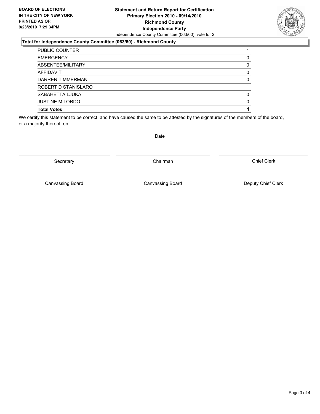### **Statement and Return Report for Certification Primary Election 2010 - 09/14/2010 Richmond County Independence Party** Independence County Committee (063/60), vote for 2

### **Total for Independence County Committee (063/60) - Richmond County**

| <b>Total Votes</b>     |   |
|------------------------|---|
| <b>JUSTINE M LORDO</b> | 0 |
| SABAHETTA LJUKA        | 0 |
| ROBERT D STANISLARO    |   |
| DARREN TIMMERMAN       | 0 |
| <b>AFFIDAVIT</b>       | 0 |
| ABSENTEE/MILITARY      | 0 |
| <b>EMERGENCY</b>       | 0 |
| <b>PUBLIC COUNTER</b>  |   |

We certify this statement to be correct, and have caused the same to be attested by the signatures of the members of the board, or a majority thereof, on

Secretary **Chairman** 

Canvassing Board

Canvassing Board **Canvassing Board** Canvassing Board **Deputy Chief Clerk** 

Chief Clerk

Date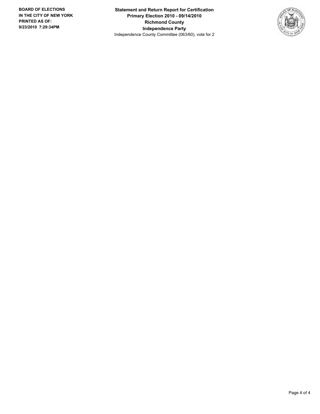**Statement and Return Report for Certification Primary Election 2010 - 09/14/2010 Richmond County Independence Party** Independence County Committee (063/60), vote for 2

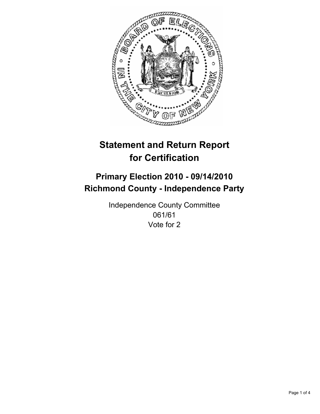

## **Primary Election 2010 - 09/14/2010 Richmond County - Independence Party**

Independence County Committee 061/61 Vote for 2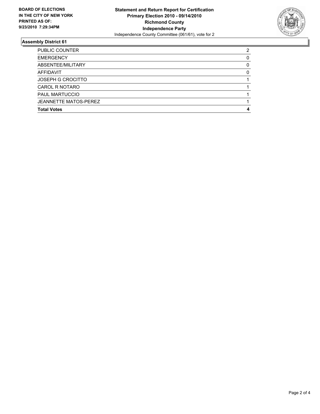

| <b>Total Votes</b>       | 4 |
|--------------------------|---|
| JEANNETTE MATOS-PEREZ    |   |
| <b>PAUL MARTUCCIO</b>    |   |
| CAROL R NOTARO           |   |
| <b>JOSEPH G CROCITTO</b> |   |
| AFFIDAVIT                | 0 |
| ABSENTEE/MILITARY        | 0 |
| <b>EMERGENCY</b>         | 0 |
| <b>PUBLIC COUNTER</b>    | 2 |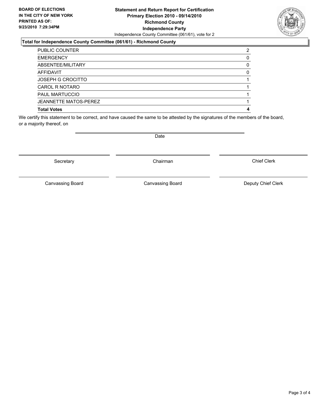### **Statement and Return Report for Certification Primary Election 2010 - 09/14/2010 Richmond County Independence Party** Independence County Committee (061/61), vote for 2

### **Total for Independence County Committee (061/61) - Richmond County**

| <b>Total Votes</b>           | 4            |
|------------------------------|--------------|
| <b>JEANNETTE MATOS-PEREZ</b> |              |
| <b>PAUL MARTUCCIO</b>        |              |
| CAROL R NOTARO               |              |
| <b>JOSEPH G CROCITTO</b>     |              |
| AFFIDAVIT                    | <sup>0</sup> |
| ABSENTEE/MILITARY            | 0            |
| <b>EMERGENCY</b>             |              |
| <b>PUBLIC COUNTER</b>        | 2            |

We certify this statement to be correct, and have caused the same to be attested by the signatures of the members of the board, or a majority thereof, on

Secretary **Chairman** 

Canvassing Board

Canvassing Board **Canvassing Board** Canvassing Board **Deputy Chief Clerk** 

Chief Clerk

Date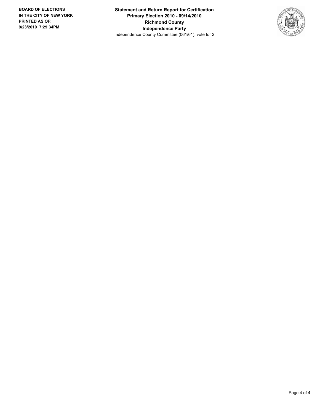**Statement and Return Report for Certification Primary Election 2010 - 09/14/2010 Richmond County Independence Party** Independence County Committee (061/61), vote for 2

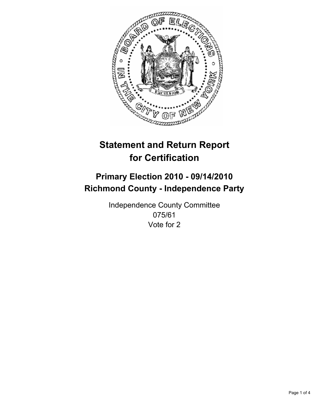

## **Primary Election 2010 - 09/14/2010 Richmond County - Independence Party**

Independence County Committee 075/61 Vote for 2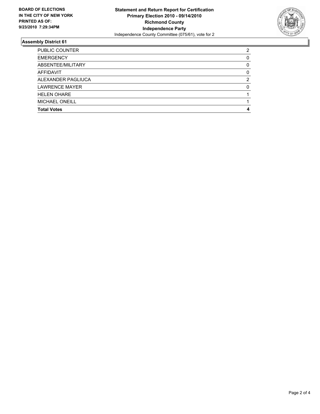

| <b>PUBLIC COUNTER</b> | 2 |
|-----------------------|---|
| <b>EMERGENCY</b>      | 0 |
| ABSENTEE/MILITARY     | 0 |
| <b>AFFIDAVIT</b>      | 0 |
| ALEXANDER PAGLIUCA    | 2 |
| <b>LAWRENCE MAYER</b> | 0 |
| <b>HELEN OHARE</b>    |   |
| <b>MICHAEL ONEILL</b> |   |
| <b>Total Votes</b>    | 4 |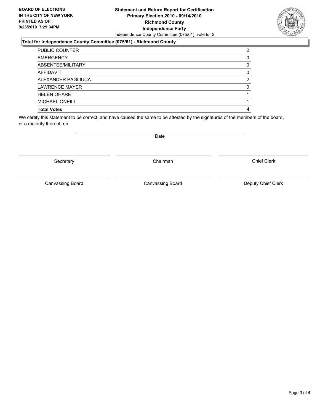### **Statement and Return Report for Certification Primary Election 2010 - 09/14/2010 Richmond County Independence Party** Independence County Committee (075/61), vote for 2

### **Total for Independence County Committee (075/61) - Richmond County**

| PUBLIC COUNTER        | 2 |
|-----------------------|---|
| <b>EMERGENCY</b>      | 0 |
| ABSENTEE/MILITARY     | 0 |
| AFFIDAVIT             | 0 |
| ALEXANDER PAGLIUCA    | 2 |
| <b>LAWRENCE MAYER</b> | 0 |
| <b>HELEN OHARE</b>    |   |
| <b>MICHAEL ONEILL</b> |   |
| <b>Total Votes</b>    | 4 |

We certify this statement to be correct, and have caused the same to be attested by the signatures of the members of the board, or a majority thereof, on

Secretary **Chairman** 

Canvassing Board

Date

Canvassing Board **Canvassing Board** Canvassing Board **Deputy Chief Clerk** 

Chief Clerk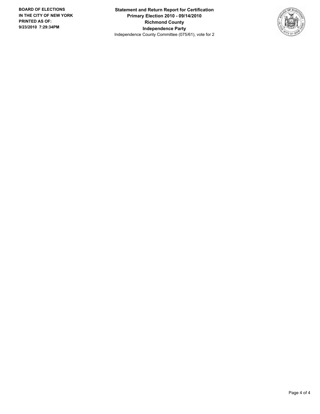**Statement and Return Report for Certification Primary Election 2010 - 09/14/2010 Richmond County Independence Party** Independence County Committee (075/61), vote for 2

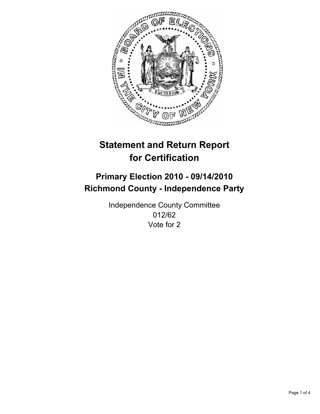

## **Primary Election 2010 - 09/14/2010 Richmond County - Independence Party**

Independence County Committee 012/62 Vote for 2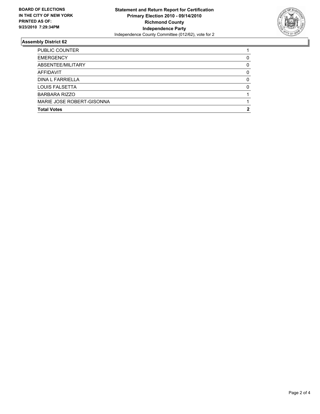

| <b>Total Votes</b>        |   |
|---------------------------|---|
| MARIE JOSE ROBERT-GISONNA |   |
| <b>BARBARA RIZZO</b>      |   |
| <b>LOUIS FALSETTA</b>     | 0 |
| DINA L FARRIELLA          | 0 |
| <b>AFFIDAVIT</b>          | 0 |
| ABSENTEE/MILITARY         | 0 |
| <b>EMERGENCY</b>          | 0 |
| <b>PUBLIC COUNTER</b>     |   |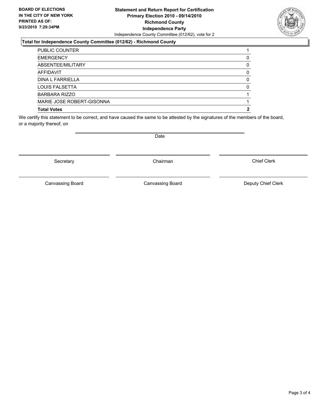### **Statement and Return Report for Certification Primary Election 2010 - 09/14/2010 Richmond County Independence Party** Independence County Committee (012/62), vote for 2

### **Total for Independence County Committee (012/62) - Richmond County**

| <b>Total Votes</b>        | 2 |
|---------------------------|---|
| MARIE JOSE ROBERT-GISONNA |   |
| <b>BARBARA RIZZO</b>      |   |
| LOUIS FALSETTA            | 0 |
| DINA L FARRIELLA          | 0 |
| AFFIDAVIT                 | 0 |
| ABSENTEE/MILITARY         | 0 |
| <b>EMERGENCY</b>          | 0 |
| <b>PUBLIC COUNTER</b>     |   |

We certify this statement to be correct, and have caused the same to be attested by the signatures of the members of the board, or a majority thereof, on

Secretary **Chairman** 

Canvassing Board

Canvassing Board **Canvassing Board** Canvassing Board **Deputy Chief Clerk** 

Chief Clerk

Date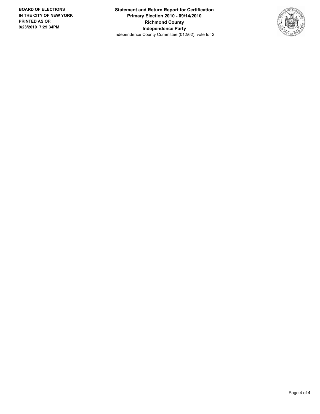**Statement and Return Report for Certification Primary Election 2010 - 09/14/2010 Richmond County Independence Party** Independence County Committee (012/62), vote for 2

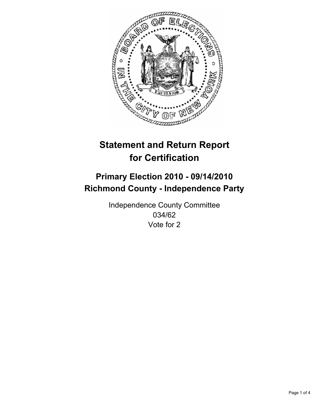

## **Primary Election 2010 - 09/14/2010 Richmond County - Independence Party**

Independence County Committee 034/62 Vote for 2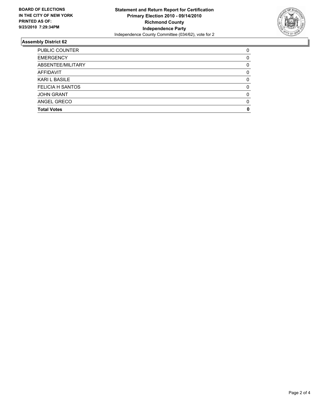

| <b>Total Votes</b>      | 0        |
|-------------------------|----------|
| ANGEL GRECO             | $\Omega$ |
| <b>JOHN GRANT</b>       | $\Omega$ |
| <b>FELICIA H SANTOS</b> | 0        |
| <b>KARI L BASILE</b>    | 0        |
| AFFIDAVIT               | 0        |
| ABSENTEE/MILITARY       | 0        |
| <b>EMERGENCY</b>        | 0        |
| <b>PUBLIC COUNTER</b>   | 0        |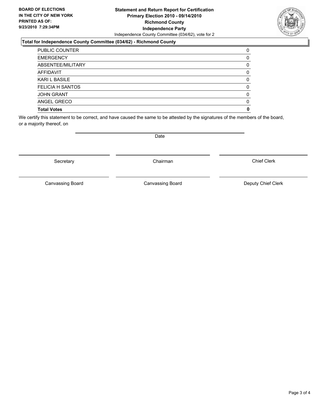#### **Statement and Return Report for Certification Primary Election 2010 - 09/14/2010 Richmond County Independence Party** Independence County Committee (034/62), vote for 2

#### **Total for Independence County Committee (034/62) - Richmond County**

| <b>PUBLIC COUNTER</b>   | 0 |
|-------------------------|---|
| <b>EMERGENCY</b>        | 0 |
| ABSENTEE/MILITARY       | 0 |
| <b>AFFIDAVIT</b>        | 0 |
| <b>KARI L BASILE</b>    | 0 |
| <b>FELICIA H SANTOS</b> | 0 |
| <b>JOHN GRANT</b>       | 0 |
| ANGEL GRECO             | 0 |
| <b>Total Votes</b>      | 0 |

We certify this statement to be correct, and have caused the same to be attested by the signatures of the members of the board, or a majority thereof, on

Date

Secretary **Chairman** 

Canvassing Board

Canvassing Board **Canvassing Board** Canvassing Board **Deputy Chief Clerk** 

Chief Clerk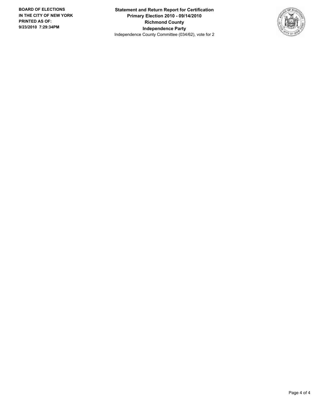**Statement and Return Report for Certification Primary Election 2010 - 09/14/2010 Richmond County Independence Party** Independence County Committee (034/62), vote for 2

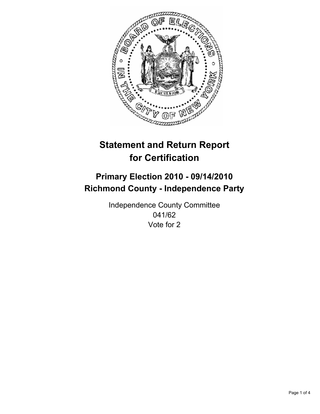

## **Primary Election 2010 - 09/14/2010 Richmond County - Independence Party**

Independence County Committee 041/62 Vote for 2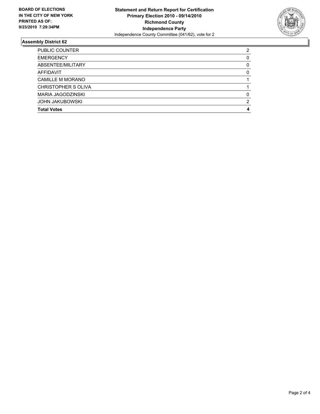

| <b>Total Votes</b>       | 4 |
|--------------------------|---|
| <b>JOHN JAKUBOWSKI</b>   | 2 |
| <b>MARIA JAGODZINSKI</b> | 0 |
| CHRISTOPHER S OLIVA      |   |
| <b>CAMILLE M MORANO</b>  |   |
| AFFIDAVIT                | 0 |
| ABSENTEE/MILITARY        | 0 |
| <b>EMERGENCY</b>         | 0 |
| <b>PUBLIC COUNTER</b>    | 2 |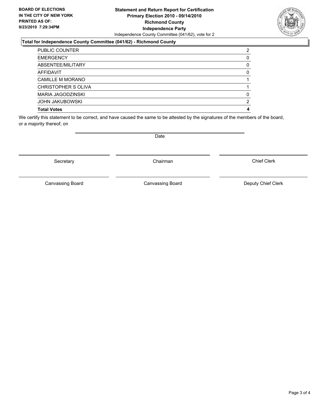#### **Statement and Return Report for Certification Primary Election 2010 - 09/14/2010 Richmond County Independence Party** Independence County Committee (041/62), vote for 2

### **Total for Independence County Committee (041/62) - Richmond County**

| <b>Total Votes</b>      | 4 |
|-------------------------|---|
| <b>JOHN JAKUBOWSKI</b>  | 2 |
| MARIA JAGODZINSKI       | 0 |
| CHRISTOPHER S OLIVA     |   |
| <b>CAMILLE M MORANO</b> |   |
| <b>AFFIDAVIT</b>        | 0 |
| ABSENTEE/MILITARY       | 0 |
| <b>EMERGENCY</b>        | 0 |
| <b>PUBLIC COUNTER</b>   | 2 |

We certify this statement to be correct, and have caused the same to be attested by the signatures of the members of the board, or a majority thereof, on

Date

Secretary **Chairman** 

Canvassing Board

Canvassing Board **Canvassing Board** Canvassing Board **Deputy Chief Clerk** 

Chief Clerk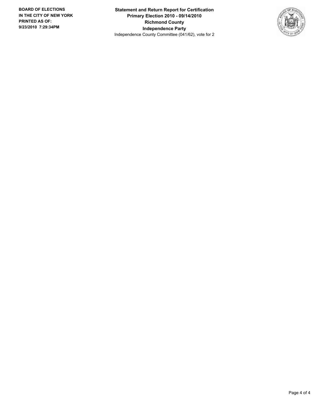**Statement and Return Report for Certification Primary Election 2010 - 09/14/2010 Richmond County Independence Party** Independence County Committee (041/62), vote for 2

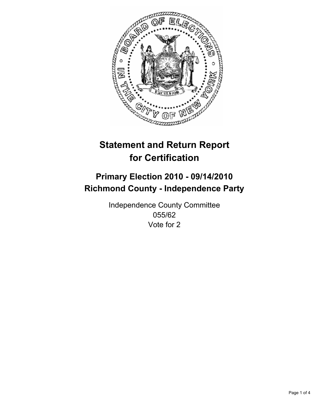

## **Primary Election 2010 - 09/14/2010 Richmond County - Independence Party**

Independence County Committee 055/62 Vote for 2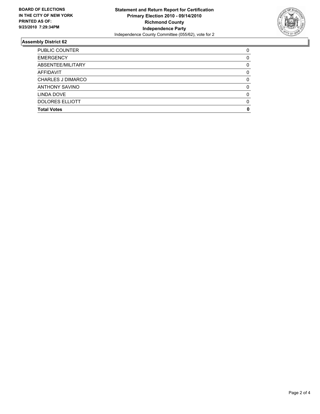

| <b>Total Votes</b>       | 0 |
|--------------------------|---|
| <b>DOLORES ELLIOTT</b>   | 0 |
| LINDA DOVE               | 0 |
| <b>ANTHONY SAVINO</b>    | 0 |
| <b>CHARLES J DIMARCO</b> | 0 |
| AFFIDAVIT                | 0 |
| ABSENTEE/MILITARY        | 0 |
| <b>EMERGENCY</b>         | 0 |
| <b>PUBLIC COUNTER</b>    | 0 |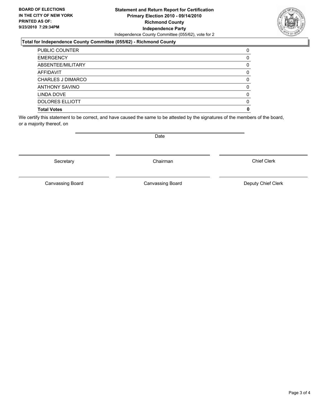#### **Statement and Return Report for Certification Primary Election 2010 - 09/14/2010 Richmond County Independence Party** Independence County Committee (055/62), vote for 2

#### **Total for Independence County Committee (055/62) - Richmond County**

| <b>Total Votes</b>       | 0 |
|--------------------------|---|
| <b>DOLORES ELLIOTT</b>   | 0 |
| LINDA DOVE               | 0 |
| <b>ANTHONY SAVINO</b>    | 0 |
| <b>CHARLES J DIMARCO</b> | 0 |
| <b>AFFIDAVIT</b>         | 0 |
| ABSENTEE/MILITARY        | 0 |
| <b>EMERGENCY</b>         | 0 |
| <b>PUBLIC COUNTER</b>    | 0 |

We certify this statement to be correct, and have caused the same to be attested by the signatures of the members of the board, or a majority thereof, on

Secretary **Chairman** 

Canvassing Board

Date

Canvassing Board **Canvassing Board** Canvassing Board **Deputy Chief Clerk** 

Chief Clerk

Page 3 of 4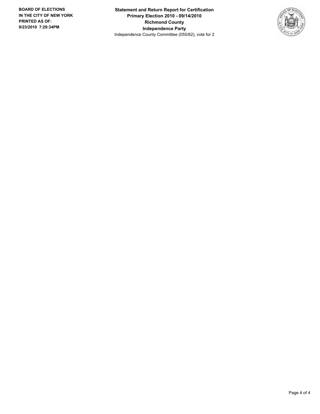**Statement and Return Report for Certification Primary Election 2010 - 09/14/2010 Richmond County Independence Party** Independence County Committee (055/62), vote for 2

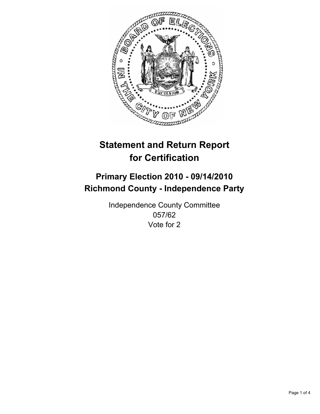

## **Primary Election 2010 - 09/14/2010 Richmond County - Independence Party**

Independence County Committee 057/62 Vote for 2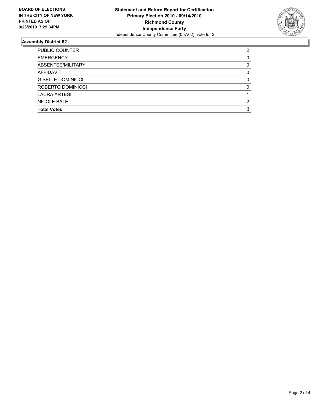

| NICOLE BALE              | 2 |
|--------------------------|---|
| <b>LAURA ARTESI</b>      |   |
| ROBERTO DOMINICCI        | 0 |
| <b>GISELLE DOMINICCI</b> | 0 |
| <b>AFFIDAVIT</b>         | 0 |
| ABSENTEE/MILITARY        | 0 |
| <b>EMERGENCY</b>         | 0 |
| PUBLIC COUNTER           | 2 |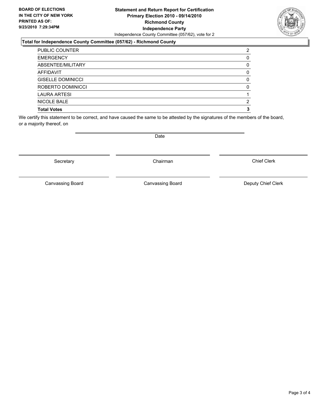#### **Statement and Return Report for Certification Primary Election 2010 - 09/14/2010 Richmond County Independence Party** Independence County Committee (057/62), vote for 2

#### **Total for Independence County Committee (057/62) - Richmond County**

| <b>Total Votes</b>       | з |
|--------------------------|---|
| NICOLE BALE              | 2 |
| <b>LAURA ARTESI</b>      |   |
| ROBERTO DOMINICCI        | 0 |
| <b>GISELLE DOMINICCI</b> | 0 |
| <b>AFFIDAVIT</b>         | 0 |
| ABSENTEE/MILITARY        | 0 |
| <b>EMERGENCY</b>         | O |
| <b>PUBLIC COUNTER</b>    | 2 |

We certify this statement to be correct, and have caused the same to be attested by the signatures of the members of the board, or a majority thereof, on

Secretary **Chairman** 

Canvassing Board

Canvassing Board **Canvassing Board** Canvassing Board **Deputy Chief Clerk** 

Chief Clerk

Date

Page 3 of 4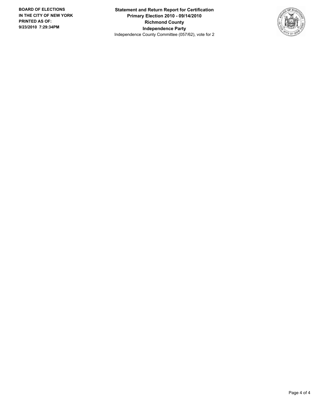**Statement and Return Report for Certification Primary Election 2010 - 09/14/2010 Richmond County Independence Party** Independence County Committee (057/62), vote for 2

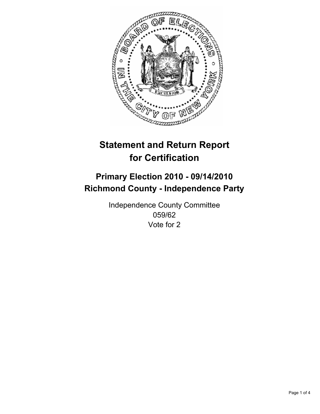

## **Primary Election 2010 - 09/14/2010 Richmond County - Independence Party**

Independence County Committee 059/62 Vote for 2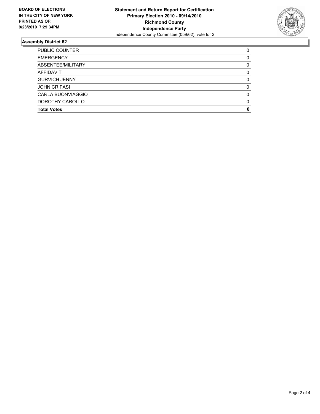

| <b>Total Votes</b>    | 0        |
|-----------------------|----------|
| DOROTHY CAROLLO       | $\Omega$ |
| CARLA BUONVIAGGIO     | $\Omega$ |
| <b>JOHN CRIFASI</b>   | 0        |
| <b>GURVICH JENNY</b>  | 0        |
| AFFIDAVIT             | 0        |
| ABSENTEE/MILITARY     | 0        |
| <b>EMERGENCY</b>      | 0        |
| <b>PUBLIC COUNTER</b> | 0        |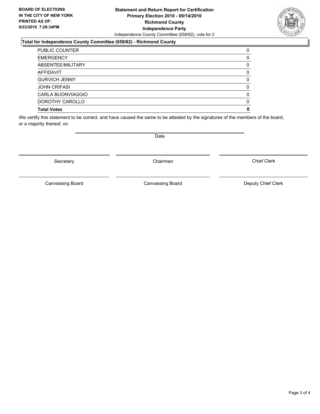#### **Statement and Return Report for Certification Primary Election 2010 - 09/14/2010 Richmond County Independence Party** Independence County Committee (059/62), vote for 2

#### **Total for Independence County Committee (059/62) - Richmond County**

| <b>Total Votes</b>       | 0 |
|--------------------------|---|
| DOROTHY CAROLLO          | 0 |
| <b>CARLA BUONVIAGGIO</b> | 0 |
| <b>JOHN CRIFASI</b>      | 0 |
| <b>GURVICH JENNY</b>     | 0 |
| <b>AFFIDAVIT</b>         | 0 |
| ABSENTEE/MILITARY        | 0 |
| <b>EMERGENCY</b>         | O |
| <b>PUBLIC COUNTER</b>    | 0 |

We certify this statement to be correct, and have caused the same to be attested by the signatures of the members of the board, or a majority thereof, on

Secretary **Chairman** 

Canvassing Board

Date

Canvassing Board **Canvassing Board** Canvassing Board **Deputy Chief Clerk** 

Chief Clerk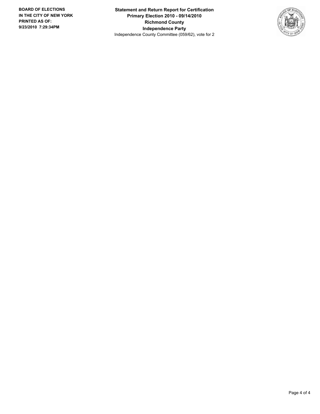**Statement and Return Report for Certification Primary Election 2010 - 09/14/2010 Richmond County Independence Party** Independence County Committee (059/62), vote for 2

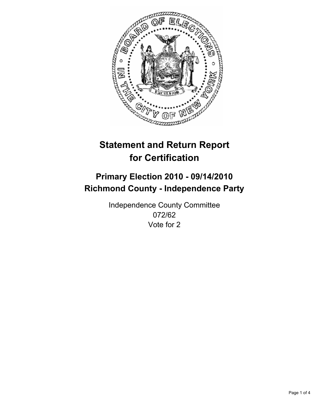

## **Primary Election 2010 - 09/14/2010 Richmond County - Independence Party**

Independence County Committee 072/62 Vote for 2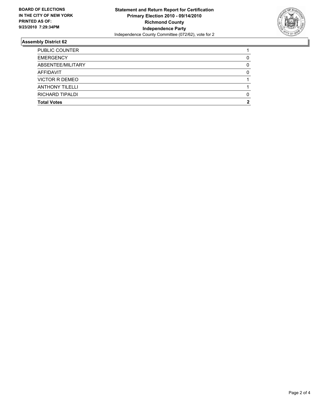

| <b>Total Votes</b>     | 2 |
|------------------------|---|
| RICHARD TIPALDI        | 0 |
| <b>ANTHONY TILELLI</b> |   |
| VICTOR R DEMEO         |   |
| AFFIDAVIT              | 0 |
| ABSENTEE/MILITARY      | 0 |
| <b>EMERGENCY</b>       | 0 |
| <b>PUBLIC COUNTER</b>  |   |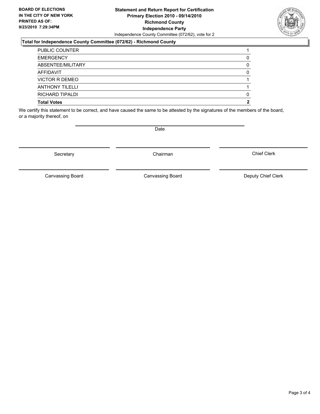#### **Statement and Return Report for Certification Primary Election 2010 - 09/14/2010 Richmond County Independence Party** Independence County Committee (072/62), vote for 2

#### **Total for Independence County Committee (072/62) - Richmond County**

| <b>Total Votes</b>     |   |
|------------------------|---|
| RICHARD TIPALDI        |   |
| <b>ANTHONY TILELLI</b> |   |
| VICTOR R DEMEO         |   |
| <b>AFFIDAVIT</b>       | 0 |
| ABSENTEE/MILITARY      |   |
| <b>EMERGENCY</b>       |   |
| <b>PUBLIC COUNTER</b>  |   |

We certify this statement to be correct, and have caused the same to be attested by the signatures of the members of the board, or a majority thereof, on

**Date** 

Secretary **Chairman** 

Canvassing Board

Canvassing Board **Canvassing Board** Canvassing Board **Deputy Chief Clerk** 

Chief Clerk

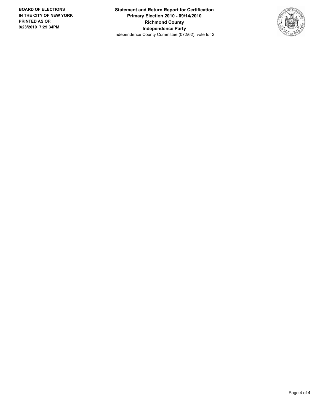**Statement and Return Report for Certification Primary Election 2010 - 09/14/2010 Richmond County Independence Party** Independence County Committee (072/62), vote for 2

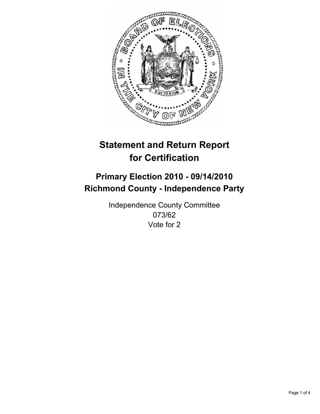

## **Primary Election 2010 - 09/14/2010 Richmond County - Independence Party**

Independence County Committee 073/62 Vote for 2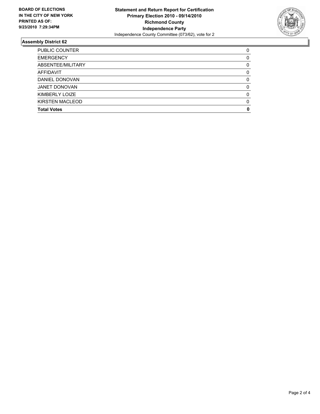

| <b>Total Votes</b>     | 0        |
|------------------------|----------|
| <b>KIRSTEN MACLEOD</b> | $\Omega$ |
| KIMBERLY LOIZE         | $\Omega$ |
| <b>JANET DONOVAN</b>   | 0        |
| DANIEL DONOVAN         | 0        |
| <b>AFFIDAVIT</b>       | 0        |
| ABSENTEE/MILITARY      | 0        |
| <b>EMERGENCY</b>       | 0        |
| <b>PUBLIC COUNTER</b>  | 0        |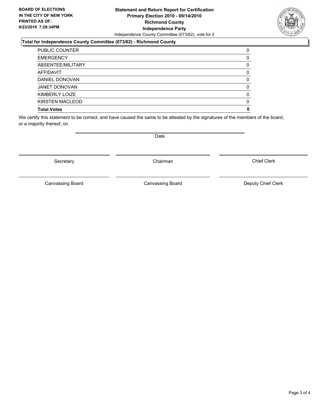#### **Statement and Return Report for Certification Primary Election 2010 - 09/14/2010 Richmond County Independence Party** Independence County Committee (073/62), vote for 2

#### **Total for Independence County Committee (073/62) - Richmond County**

| <b>PUBLIC COUNTER</b>  | 0 |
|------------------------|---|
| <b>EMERGENCY</b>       | 0 |
| ABSENTEE/MILITARY      | 0 |
| <b>AFFIDAVIT</b>       | 0 |
| DANIEL DONOVAN         | 0 |
| <b>JANET DONOVAN</b>   | 0 |
| KIMBERLY LOIZE         | 0 |
| <b>KIRSTEN MACLEOD</b> | 0 |
| <b>Total Votes</b>     | 0 |

We certify this statement to be correct, and have caused the same to be attested by the signatures of the members of the board, or a majority thereof, on

Secretary **Chairman** 

Canvassing Board

Canvassing Board **Canvassing Board** Canvassing Board **Deputy Chief Clerk** 

Chief Clerk



Page 3 of 4

Date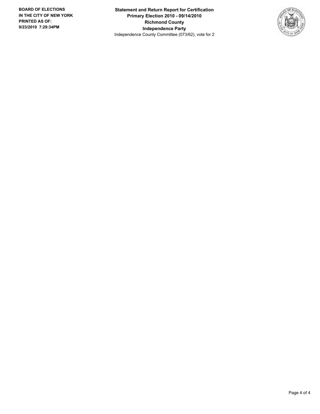**Statement and Return Report for Certification Primary Election 2010 - 09/14/2010 Richmond County Independence Party** Independence County Committee (073/62), vote for 2

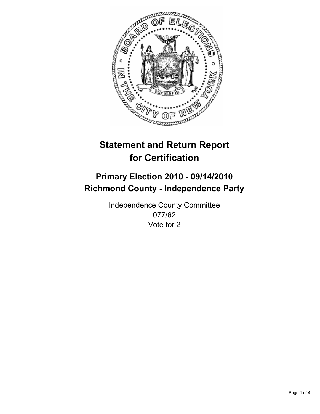

## **Primary Election 2010 - 09/14/2010 Richmond County - Independence Party**

Independence County Committee 077/62 Vote for 2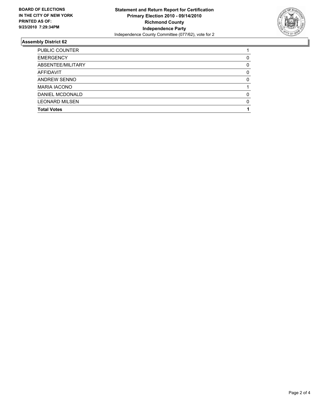

| <b>Total Votes</b>    |          |
|-----------------------|----------|
| <b>LEONARD MILSEN</b> | $\Omega$ |
| DANIEL MCDONALD       | 0        |
| <b>MARIA IACONO</b>   |          |
| ANDREW SENNO          | 0        |
| <b>AFFIDAVIT</b>      | 0        |
| ABSENTEE/MILITARY     | 0        |
| <b>EMERGENCY</b>      | 0        |
| <b>PUBLIC COUNTER</b> |          |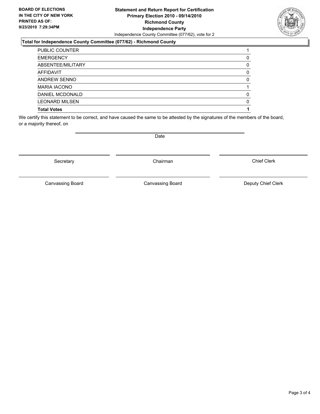#### **Statement and Return Report for Certification Primary Election 2010 - 09/14/2010 Richmond County Independence Party** Independence County Committee (077/62), vote for 2

#### **Total for Independence County Committee (077/62) - Richmond County**

| <b>PUBLIC COUNTER</b> |   |
|-----------------------|---|
| <b>EMERGENCY</b>      | 0 |
| ABSENTEE/MILITARY     | 0 |
| AFFIDAVIT             | 0 |
| <b>ANDREW SENNO</b>   | 0 |
| <b>MARIA IACONO</b>   |   |
| DANIEL MCDONALD       | 0 |
| <b>LEONARD MILSEN</b> | 0 |
| <b>Total Votes</b>    |   |

We certify this statement to be correct, and have caused the same to be attested by the signatures of the members of the board, or a majority thereof, on

Date

Canvassing Board

Canvassing Board **Canvassing Board** Canvassing Board **Deputy Chief Clerk** 

Chief Clerk

Secretary **Chairman** 

Page 3 of 4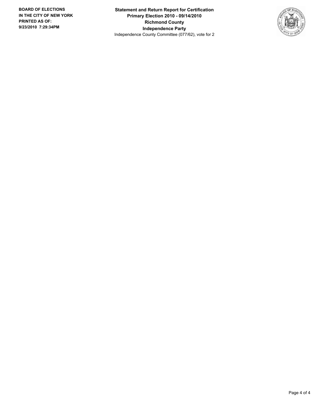**Statement and Return Report for Certification Primary Election 2010 - 09/14/2010 Richmond County Independence Party** Independence County Committee (077/62), vote for 2

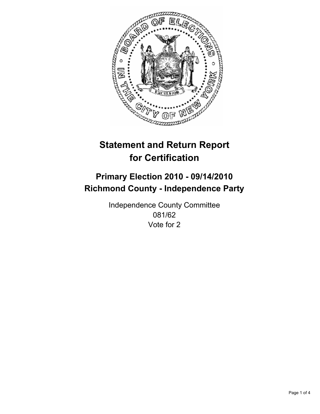

## **Primary Election 2010 - 09/14/2010 Richmond County - Independence Party**

Independence County Committee 081/62 Vote for 2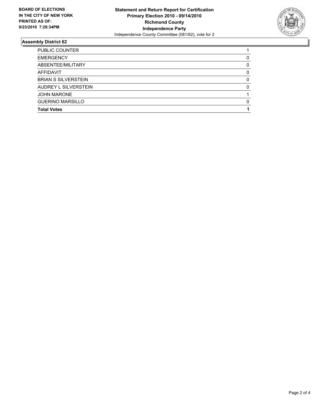

| <b>PUBLIC COUNTER</b>      |   |
|----------------------------|---|
| <b>EMERGENCY</b>           | 0 |
| ABSENTEE/MILITARY          | 0 |
| <b>AFFIDAVIT</b>           | 0 |
| <b>BRIAN S SILVERSTEIN</b> | 0 |
| AUDREY L SILVERSTEIN       | 0 |
| <b>JOHN MARONE</b>         |   |
| <b>GUERINO MARSILLO</b>    | 0 |
| <b>Total Votes</b>         |   |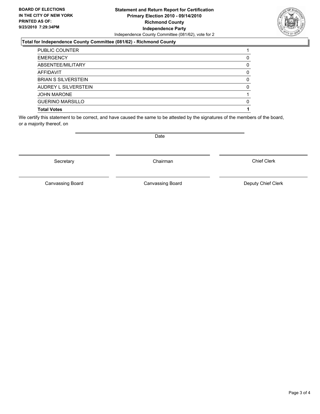#### **Statement and Return Report for Certification Primary Election 2010 - 09/14/2010 Richmond County Independence Party** Independence County Committee (081/62), vote for 2

#### **Total for Independence County Committee (081/62) - Richmond County**

| ABSENTEE/MILITARY<br>AFFIDAVIT | 0 |
|--------------------------------|---|
| <b>BRIAN S SILVERSTEIN</b>     | 0 |
|                                | 0 |
| AUDREY L SILVERSTEIN           | 0 |
| <b>JOHN MARONE</b>             |   |
| <b>GUERINO MARSILLO</b>        | 0 |
| <b>Total Votes</b>             |   |

We certify this statement to be correct, and have caused the same to be attested by the signatures of the members of the board, or a majority thereof, on

Secretary **Chairman** 

Date

Canvassing Board **Canvassing Board** Canvassing Board **Deputy Chief Clerk** 

Chief Clerk

Page 3 of 4

Canvassing Board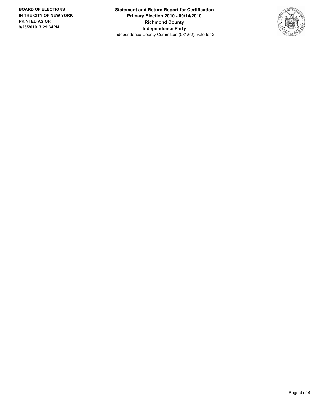**Statement and Return Report for Certification Primary Election 2010 - 09/14/2010 Richmond County Independence Party** Independence County Committee (081/62), vote for 2

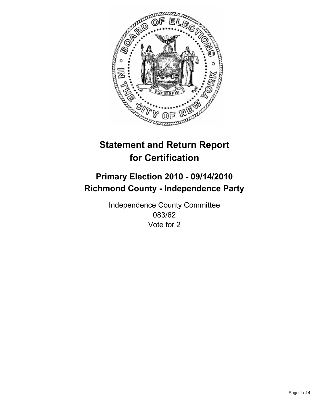

## **Primary Election 2010 - 09/14/2010 Richmond County - Independence Party**

Independence County Committee 083/62 Vote for 2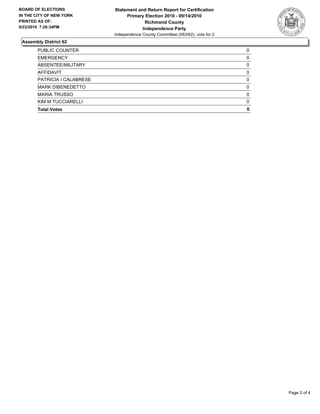

| <b>Total Votes</b>      | 0 |
|-------------------------|---|
| KIM M TUCCIARELLI       | 0 |
| <b>MARIA TRUSSO</b>     | 0 |
| <b>MARK DIBENEDETTO</b> | 0 |
| PATRICIA I CALABRESE    | 0 |
| <b>AFFIDAVIT</b>        | 0 |
| ABSENTEE/MILITARY       | 0 |
| <b>EMERGENCY</b>        | 0 |
| PUBLIC COUNTER          | 0 |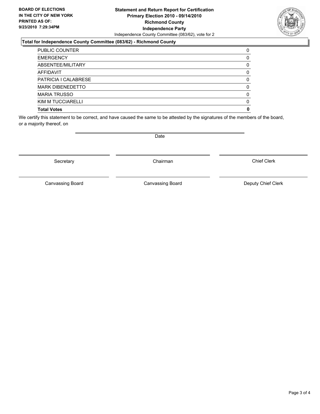### **Statement and Return Report for Certification Primary Election 2010 - 09/14/2010 Richmond County Independence Party** Independence County Committee (083/62), vote for 2

### **Total for Independence County Committee (083/62) - Richmond County**

| <b>Total Votes</b>      | 0 |
|-------------------------|---|
| KIM M TUCCIARELLI       | 0 |
| <b>MARIA TRUSSO</b>     | 0 |
| <b>MARK DIBENEDETTO</b> | 0 |
| PATRICIA I CALABRESE    | 0 |
| <b>AFFIDAVIT</b>        | 0 |
| ABSENTEE/MILITARY       | 0 |
| <b>EMERGENCY</b>        | 0 |
| <b>PUBLIC COUNTER</b>   | 0 |

We certify this statement to be correct, and have caused the same to be attested by the signatures of the members of the board, or a majority thereof, on

Secretary **Chairman** 

Canvassing Board

Date

Canvassing Board **Canvassing Board** Canvassing Board **Deputy Chief Clerk** 

Chief Clerk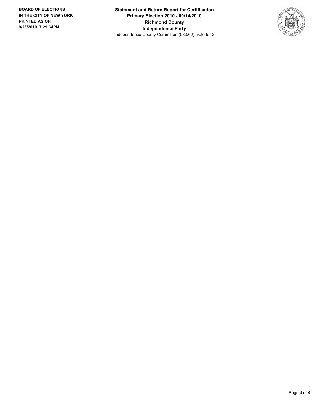**Statement and Return Report for Certification Primary Election 2010 - 09/14/2010 Richmond County Independence Party** Independence County Committee (083/62), vote for 2

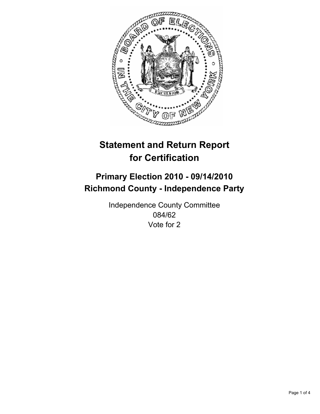

## **Primary Election 2010 - 09/14/2010 Richmond County - Independence Party**

Independence County Committee 084/62 Vote for 2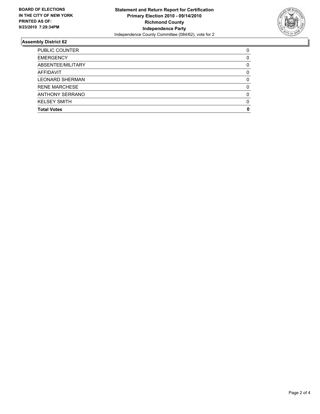

| <b>Total Votes</b>     | 0 |
|------------------------|---|
| <b>KELSEY SMITH</b>    | 0 |
| ANTHONY SERRANO        | 0 |
| <b>RENE MARCHESE</b>   | 0 |
| <b>LEONARD SHERMAN</b> | 0 |
| <b>AFFIDAVIT</b>       | 0 |
| ABSENTEE/MILITARY      | 0 |
| <b>EMERGENCY</b>       | 0 |
| <b>PUBLIC COUNTER</b>  | 0 |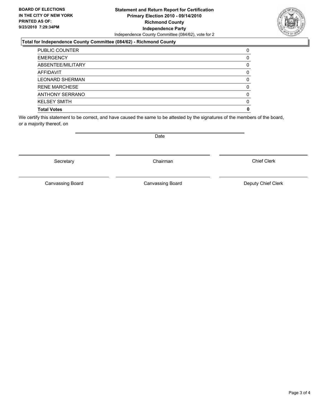### **Statement and Return Report for Certification Primary Election 2010 - 09/14/2010 Richmond County Independence Party** Independence County Committee (084/62), vote for 2

### **Total for Independence County Committee (084/62) - Richmond County**

| <b>Total Votes</b>     | O |
|------------------------|---|
| <b>KELSEY SMITH</b>    | 0 |
| ANTHONY SERRANO        | 0 |
| <b>RENE MARCHESE</b>   | 0 |
| <b>LEONARD SHERMAN</b> | 0 |
| <b>AFFIDAVIT</b>       | 0 |
| ABSENTEE/MILITARY      | 0 |
| <b>EMERGENCY</b>       | O |
| <b>PUBLIC COUNTER</b>  | 0 |

We certify this statement to be correct, and have caused the same to be attested by the signatures of the members of the board, or a majority thereof, on

Secretary **Chairman** 

Canvassing Board

Canvassing Board **Canvassing Board** Canvassing Board **Deputy Chief Clerk** 

Chief Clerk

Date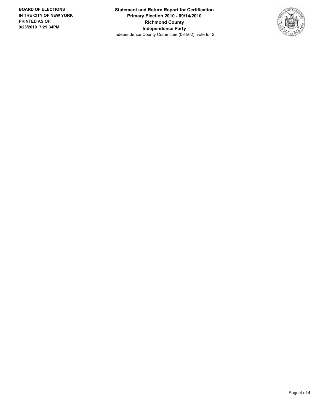**Statement and Return Report for Certification Primary Election 2010 - 09/14/2010 Richmond County Independence Party** Independence County Committee (084/62), vote for 2

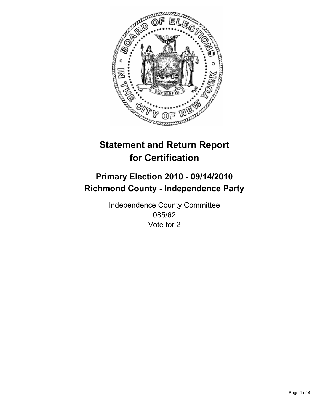

## **Primary Election 2010 - 09/14/2010 Richmond County - Independence Party**

Independence County Committee 085/62 Vote for 2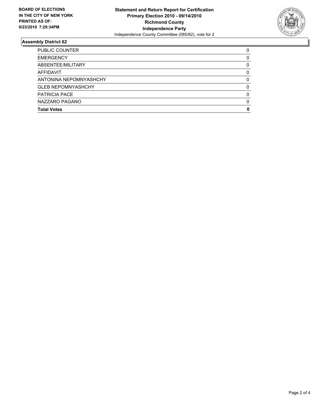

| <b>Total Votes</b>        | 0 |
|---------------------------|---|
| NAZZARO PAGANO            | 0 |
| <b>PATRICIA PACE</b>      | 0 |
| <b>GLEB NEPOMNYASHCHY</b> | 0 |
| ANTONINA NEPOMNYASHCHY    | 0 |
| AFFIDAVIT                 | 0 |
| ABSENTEE/MILITARY         | 0 |
| <b>EMERGENCY</b>          | 0 |
| PUBLIC COUNTER            | 0 |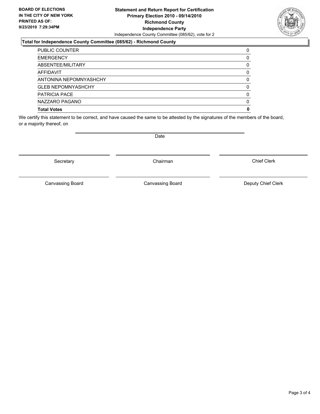### **Statement and Return Report for Certification Primary Election 2010 - 09/14/2010 Richmond County Independence Party** Independence County Committee (085/62), vote for 2

### **Total for Independence County Committee (085/62) - Richmond County**

| <b>Total Votes</b>        | 0 |
|---------------------------|---|
| NAZZARO PAGANO            | 0 |
| <b>PATRICIA PACE</b>      | 0 |
| <b>GLEB NEPOMNYASHCHY</b> | 0 |
| ANTONINA NEPOMNYASHCHY    | 0 |
| AFFIDAVIT                 | 0 |
| ABSENTEE/MILITARY         | 0 |
| <b>EMERGENCY</b>          | 0 |
| <b>PUBLIC COUNTER</b>     | 0 |

We certify this statement to be correct, and have caused the same to be attested by the signatures of the members of the board, or a majority thereof, on

Canvassing Board

Canvassing Board **Canvassing Board** Canvassing Board **Deputy Chief Clerk** 

Chief Clerk



Secretary **Chairman** 

Date

Page 3 of 4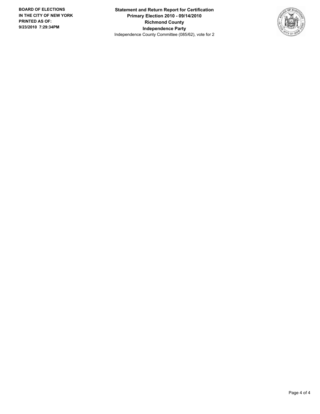**Statement and Return Report for Certification Primary Election 2010 - 09/14/2010 Richmond County Independence Party** Independence County Committee (085/62), vote for 2

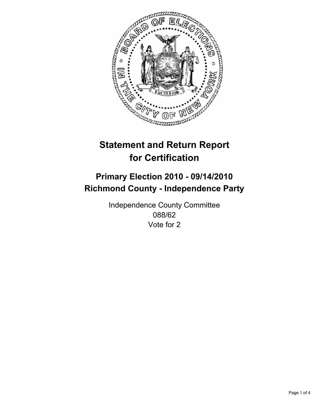

## **Primary Election 2010 - 09/14/2010 Richmond County - Independence Party**

Independence County Committee 088/62 Vote for 2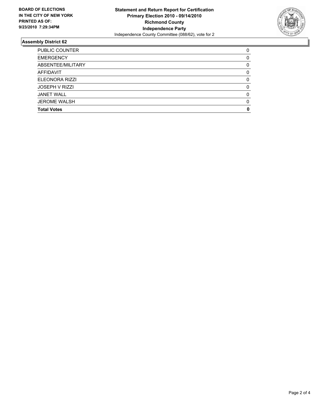

| <b>Total Votes</b>    | 0        |
|-----------------------|----------|
| <b>JEROME WALSH</b>   | $\Omega$ |
| <b>JANET WALL</b>     | $\Omega$ |
| <b>JOSEPH V RIZZI</b> | 0        |
| ELEONORA RIZZI        | 0        |
| <b>AFFIDAVIT</b>      | 0        |
| ABSENTEE/MILITARY     | 0        |
| <b>EMERGENCY</b>      | 0        |
| <b>PUBLIC COUNTER</b> | 0        |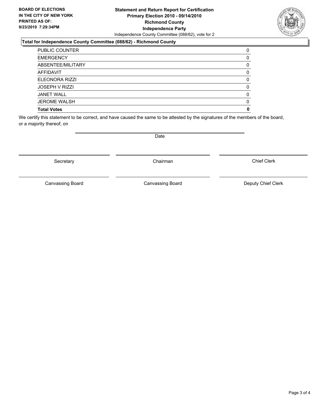### **Statement and Return Report for Certification Primary Election 2010 - 09/14/2010 Richmond County Independence Party** Independence County Committee (088/62), vote for 2

### **Total for Independence County Committee (088/62) - Richmond County**

| <b>Total Votes</b>    | 0 |
|-----------------------|---|
| <b>JEROME WALSH</b>   | 0 |
| <b>JANET WALL</b>     | 0 |
| <b>JOSEPH V RIZZI</b> | 0 |
| ELEONORA RIZZI        | 0 |
| <b>AFFIDAVIT</b>      | 0 |
| ABSENTEE/MILITARY     | 0 |
| <b>EMERGENCY</b>      | 0 |
| <b>PUBLIC COUNTER</b> | 0 |

We certify this statement to be correct, and have caused the same to be attested by the signatures of the members of the board, or a majority thereof, on

Secretary **Chairman** 

Canvassing Board

Canvassing Board **Canvassing Board** Canvassing Board **Deputy Chief Clerk** 

Chief Clerk



Date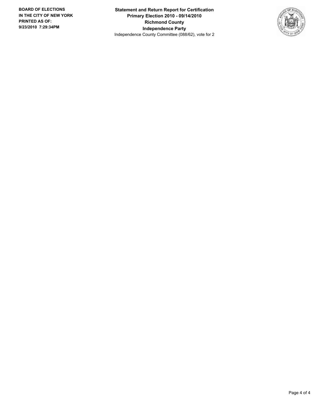**Statement and Return Report for Certification Primary Election 2010 - 09/14/2010 Richmond County Independence Party** Independence County Committee (088/62), vote for 2

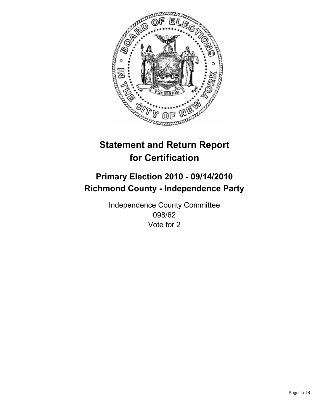

## **Primary Election 2010 - 09/14/2010 Richmond County - Independence Party**

Independence County Committee 098/62 Vote for 2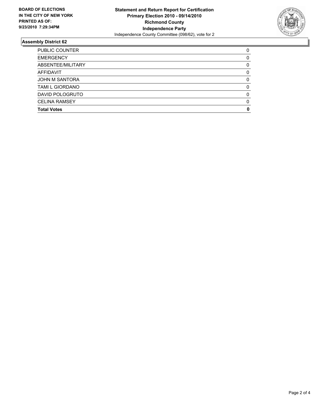

| <b>Total Votes</b>     | 0        |
|------------------------|----------|
| <b>CELINA RAMSEY</b>   | $\Omega$ |
| DAVID POLOGRUTO        | $\Omega$ |
| <b>TAMI L GIORDANO</b> | 0        |
| <b>JOHN M SANTORA</b>  | 0        |
| <b>AFFIDAVIT</b>       | 0        |
| ABSENTEE/MILITARY      | 0        |
| <b>EMERGENCY</b>       | 0        |
| <b>PUBLIC COUNTER</b>  | 0        |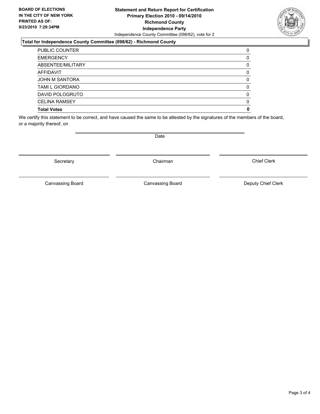### **Statement and Return Report for Certification Primary Election 2010 - 09/14/2010 Richmond County Independence Party** Independence County Committee (098/62), vote for 2

### **Total for Independence County Committee (098/62) - Richmond County**

| <b>Total Votes</b>     | 0 |
|------------------------|---|
| <b>CELINA RAMSEY</b>   | 0 |
| DAVID POLOGRUTO        | 0 |
| <b>TAMI L GIORDANO</b> | 0 |
| <b>JOHN M SANTORA</b>  | 0 |
| <b>AFFIDAVIT</b>       | 0 |
| ABSENTEE/MILITARY      | 0 |
| <b>EMERGENCY</b>       | 0 |
| <b>PUBLIC COUNTER</b>  | 0 |

We certify this statement to be correct, and have caused the same to be attested by the signatures of the members of the board, or a majority thereof, on

Canvassing Board

Date

Canvassing Board **Canvassing Board** Canvassing Board **Deputy Chief Clerk** 

Chief Clerk



Secretary **Chairman**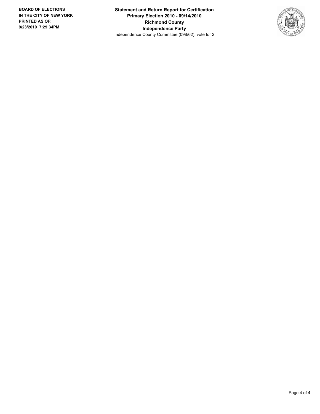**Statement and Return Report for Certification Primary Election 2010 - 09/14/2010 Richmond County Independence Party** Independence County Committee (098/62), vote for 2

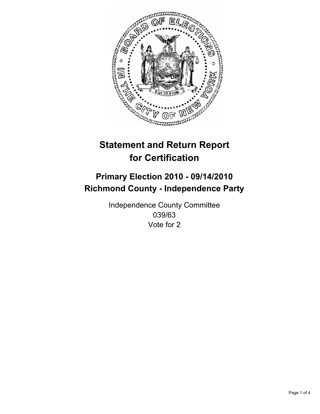

## **Primary Election 2010 - 09/14/2010 Richmond County - Independence Party**

Independence County Committee 039/63 Vote for 2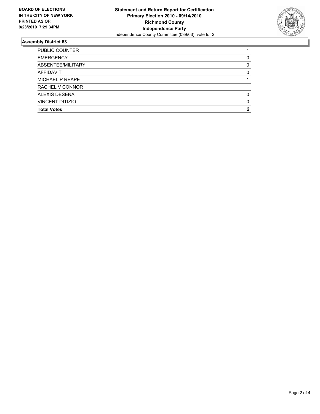

| <b>Total Votes</b>     | 2 |
|------------------------|---|
| <b>VINCENT DITIZIO</b> | 0 |
| ALEXIS DESENA          | O |
| RACHEL V CONNOR        |   |
| MICHAEL P REAPE        |   |
| <b>AFFIDAVIT</b>       | 0 |
| ABSENTEE/MILITARY      | 0 |
| <b>EMERGENCY</b>       | 0 |
| <b>PUBLIC COUNTER</b>  |   |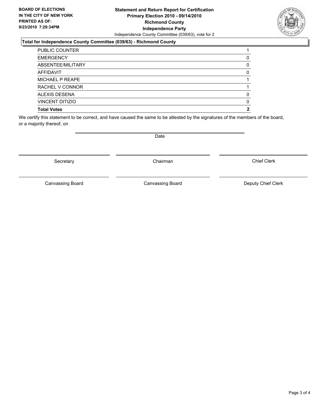### **Statement and Return Report for Certification Primary Election 2010 - 09/14/2010 Richmond County Independence Party** Independence County Committee (039/63), vote for 2

### **Total for Independence County Committee (039/63) - Richmond County**

| <b>Total Votes</b>     | 2 |
|------------------------|---|
| <b>VINCENT DITIZIO</b> | 0 |
| ALEXIS DESENA          | 0 |
| RACHEL V CONNOR        |   |
| MICHAEL P REAPE        |   |
| <b>AFFIDAVIT</b>       | 0 |
| ABSENTEE/MILITARY      | 0 |
| <b>EMERGENCY</b>       | 0 |
| <b>PUBLIC COUNTER</b>  |   |

We certify this statement to be correct, and have caused the same to be attested by the signatures of the members of the board, or a majority thereof, on

Secretary **Chairman** 

Canvassing Board

Canvassing Board **Canvassing Board** Canvassing Board **Deputy Chief Clerk** 

Chief Clerk

Date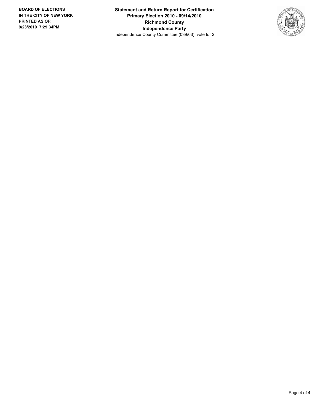**Statement and Return Report for Certification Primary Election 2010 - 09/14/2010 Richmond County Independence Party** Independence County Committee (039/63), vote for 2

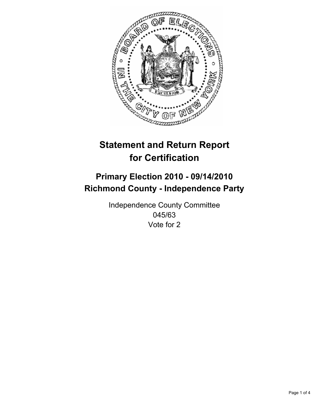

## **Primary Election 2010 - 09/14/2010 Richmond County - Independence Party**

Independence County Committee 045/63 Vote for 2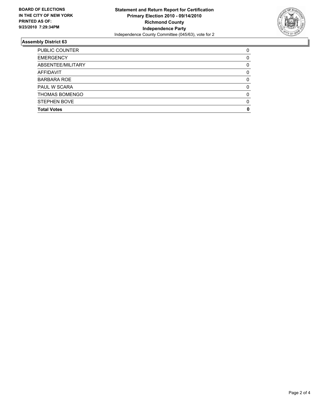

| <b>Total Votes</b>    | O |
|-----------------------|---|
| <b>STEPHEN BOVE</b>   | 0 |
| <b>THOMAS BOMENGO</b> | 0 |
| <b>PAUL W SCARA</b>   | 0 |
| <b>BARBARA ROE</b>    | 0 |
| <b>AFFIDAVIT</b>      | 0 |
| ABSENTEE/MILITARY     | 0 |
| <b>EMERGENCY</b>      | 0 |
| <b>PUBLIC COUNTER</b> | 0 |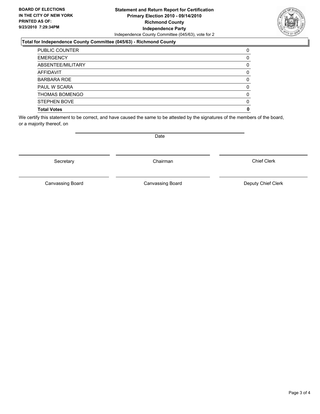### **Statement and Return Report for Certification Primary Election 2010 - 09/14/2010 Richmond County Independence Party** Independence County Committee (045/63), vote for 2

### **Total for Independence County Committee (045/63) - Richmond County**

| <b>Total Votes</b>    | 0  |
|-----------------------|----|
| <b>STEPHEN BOVE</b>   | O) |
| <b>THOMAS BOMENGO</b> | 0  |
| <b>PAUL W SCARA</b>   | 0  |
| <b>BARBARA ROE</b>    | 0  |
| <b>AFFIDAVIT</b>      | 0  |
| ABSENTEE/MILITARY     | 0  |
| <b>EMERGENCY</b>      |    |
| <b>PUBLIC COUNTER</b> | 0  |

We certify this statement to be correct, and have caused the same to be attested by the signatures of the members of the board, or a majority thereof, on

Secretary **Chairman** 

Canvassing Board

Canvassing Board **Canvassing Board** Canvassing Board **Deputy Chief Clerk** 

Chief Clerk



Date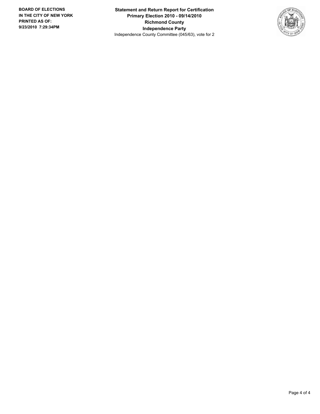**Statement and Return Report for Certification Primary Election 2010 - 09/14/2010 Richmond County Independence Party** Independence County Committee (045/63), vote for 2

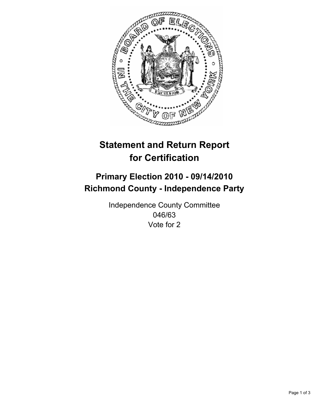

## **Primary Election 2010 - 09/14/2010 Richmond County - Independence Party**

Independence County Committee 046/63 Vote for 2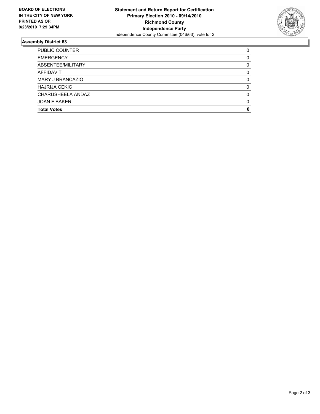

| <b>Total Votes</b>      | 0 |
|-------------------------|---|
| <b>JOAN F BAKER</b>     | 0 |
| CHARUSHEELA ANDAZ       | 0 |
| <b>HAJRIJA CEKIC</b>    | 0 |
| <b>MARY J BRANCAZIO</b> | 0 |
| <b>AFFIDAVIT</b>        | 0 |
| ABSENTEE/MILITARY       | 0 |
| <b>EMERGENCY</b>        | 0 |
| <b>PUBLIC COUNTER</b>   | 0 |